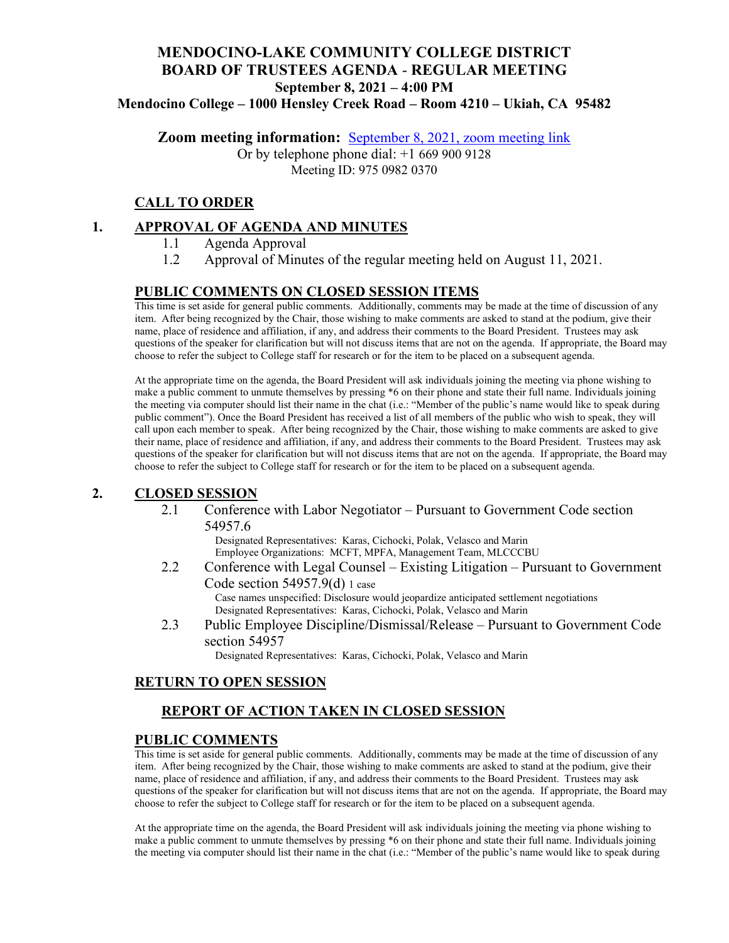## **MENDOCINO-LAKE COMMUNITY COLLEGE DISTRICT BOARD OF TRUSTEES AGENDA** - **REGULAR MEETING September 8, 2021 – 4:00 PM Mendocino College – 1000 Hensley Creek Road – Room 4210 – Ukiah, CA 95482**

**Zoom meeting information:** [September 8, 2021, zoom meeting link](https://mendocino-edu.zoom.us/j/97509820370)

Or by telephone phone dial: +1 669 900 9128 Meeting ID: 975 0982 0370

## **CALL TO ORDER**

### **1. APPROVAL OF AGENDA AND MINUTES**

- 1.1 Agenda Approval
- 1.2 Approval of Minutes of the regular meeting held on August 11, 2021.

### **PUBLIC COMMENTS ON CLOSED SESSION ITEMS**

This time is set aside for general public comments. Additionally, comments may be made at the time of discussion of any item. After being recognized by the Chair, those wishing to make comments are asked to stand at the podium, give their name, place of residence and affiliation, if any, and address their comments to the Board President. Trustees may ask questions of the speaker for clarification but will not discuss items that are not on the agenda. If appropriate, the Board may choose to refer the subject to College staff for research or for the item to be placed on a subsequent agenda.

At the appropriate time on the agenda, the Board President will ask individuals joining the meeting via phone wishing to make a public comment to unmute themselves by pressing \*6 on their phone and state their full name. Individuals joining the meeting via computer should list their name in the chat (i.e.: "Member of the public's name would like to speak during public comment"). Once the Board President has received a list of all members of the public who wish to speak, they will call upon each member to speak. After being recognized by the Chair, those wishing to make comments are asked to give their name, place of residence and affiliation, if any, and address their comments to the Board President. Trustees may ask questions of the speaker for clarification but will not discuss items that are not on the agenda. If appropriate, the Board may choose to refer the subject to College staff for research or for the item to be placed on a subsequent agenda.

#### **2. CLOSED SESSION**

2.1 Conference with Labor Negotiator – Pursuant to Government Code section 54957.6

Designated Representatives: Karas, Cichocki, Polak, Velasco and Marin Employee Organizations: MCFT, MPFA, Management Team, MLCCCBU

- 2.2 Conference with Legal Counsel Existing Litigation Pursuant to Government Code section 54957.9(d) 1 case Case names unspecified: Disclosure would jeopardize anticipated settlement negotiations Designated Representatives: Karas, Cichocki, Polak, Velasco and Marin
- 2.3 Public Employee Discipline/Dismissal/Release Pursuant to Government Code section 54957

Designated Representatives: Karas, Cichocki, Polak, Velasco and Marin

#### **RETURN TO OPEN SESSION**

## **REPORT OF ACTION TAKEN IN CLOSED SESSION**

#### **PUBLIC COMMENTS**

This time is set aside for general public comments. Additionally, comments may be made at the time of discussion of any item. After being recognized by the Chair, those wishing to make comments are asked to stand at the podium, give their name, place of residence and affiliation, if any, and address their comments to the Board President. Trustees may ask questions of the speaker for clarification but will not discuss items that are not on the agenda. If appropriate, the Board may choose to refer the subject to College staff for research or for the item to be placed on a subsequent agenda.

At the appropriate time on the agenda, the Board President will ask individuals joining the meeting via phone wishing to make a public comment to unmute themselves by pressing \*6 on their phone and state their full name. Individuals joining the meeting via computer should list their name in the chat (i.e.: "Member of the public's name would like to speak during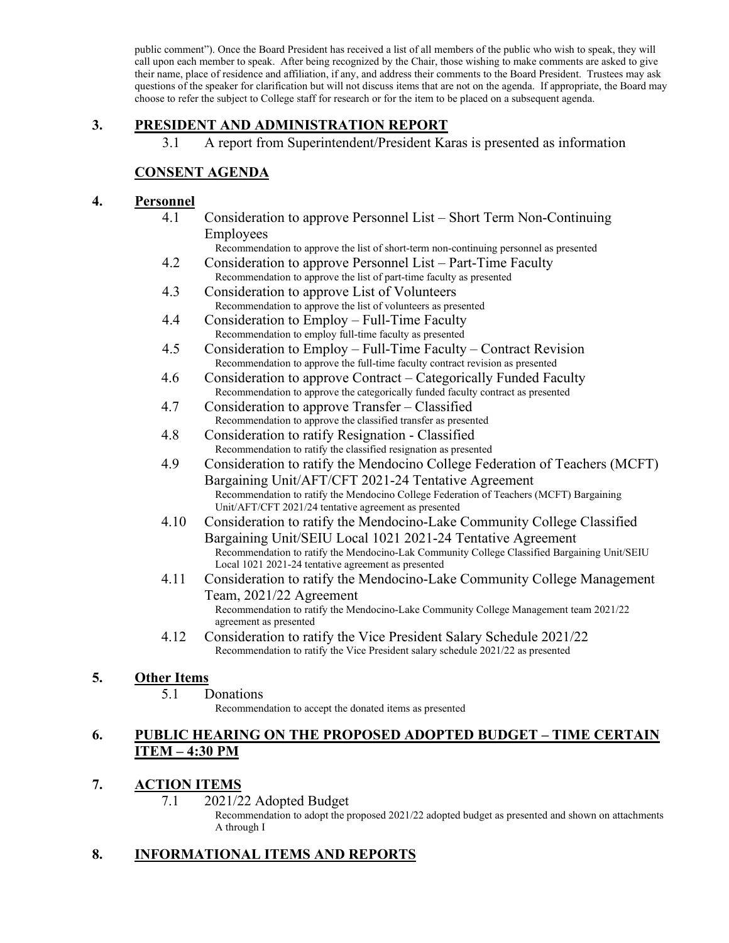public comment"). Once the Board President has received a list of all members of the public who wish to speak, they will call upon each member to speak. After being recognized by the Chair, those wishing to make comments are asked to give their name, place of residence and affiliation, if any, and address their comments to the Board President. Trustees may ask questions of the speaker for clarification but will not discuss items that are not on the agenda. If appropriate, the Board may choose to refer the subject to College staff for research or for the item to be placed on a subsequent agenda.

## **3. PRESIDENT AND ADMINISTRATION REPORT**

3.1 A report from Superintendent/President Karas is presented as information

## **CONSENT AGENDA**

#### **4. Personnel**

4.1 Consideration to approve Personnel List – Short Term Non-Continuing Employees

Recommendation to approve the list of short-term non-continuing personnel as presented

- 4.2 Consideration to approve Personnel List Part-Time Faculty Recommendation to approve the list of part-time faculty as presented
- 4.3 Consideration to approve List of Volunteers Recommendation to approve the list of volunteers as presented
- 4.4 Consideration to Employ Full-Time Faculty Recommendation to employ full-time faculty as presented
- 4.5 Consideration to Employ Full-Time Faculty Contract Revision Recommendation to approve the full-time faculty contract revision as presented
- 4.6 Consideration to approve Contract Categorically Funded Faculty Recommendation to approve the categorically funded faculty contract as presented
- 4.7 Consideration to approve Transfer Classified Recommendation to approve the classified transfer as presented
- 4.8 Consideration to ratify Resignation Classified Recommendation to ratify the classified resignation as presented
- 4.9 Consideration to ratify the Mendocino College Federation of Teachers (MCFT) Bargaining Unit/AFT/CFT 2021-24 Tentative Agreement Recommendation to ratify the Mendocino College Federation of Teachers (MCFT) Bargaining Unit/AFT/CFT 2021/24 tentative agreement as presented
- 4.10 Consideration to ratify the Mendocino-Lake Community College Classified Bargaining Unit/SEIU Local 1021 2021-24 Tentative Agreement Recommendation to ratify the Mendocino-Lak Community College Classified Bargaining Unit/SEIU Local 1021 2021-24 tentative agreement as presented
- 4.11 Consideration to ratify the Mendocino-Lake Community College Management Team, 2021/22 Agreement Recommendation to ratify the Mendocino-Lake Community College Management team 2021/22 agreement as presented
- 4.12 Consideration to ratify the Vice President Salary Schedule 2021/22 Recommendation to ratify the Vice President salary schedule 2021/22 as presented

#### **5. Other Items**

#### 5.1 Donations

Recommendation to accept the donated items as presented

### **6. PUBLIC HEARING ON THE PROPOSED ADOPTED BUDGET – TIME CERTAIN ITEM – 4:30 PM**

## **7. ACTION ITEMS**

7.1 2021/22 Adopted Budget

Recommendation to adopt the proposed 2021/22 adopted budget as presented and shown on attachments A through I

## **8. INFORMATIONAL ITEMS AND REPORTS**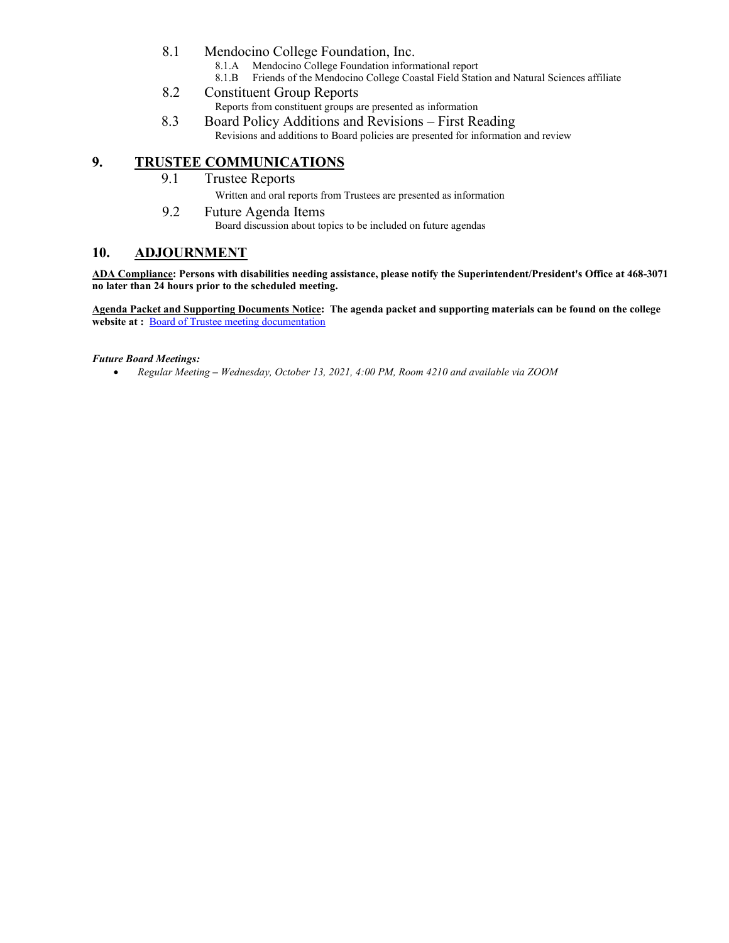- 8.1 Mendocino College Foundation, Inc.
	- 8.1.A Mendocino College Foundation informational report 8.1.B Friends of the Mendocino College Coastal Field Stati
	- Friends of the Mendocino College Coastal Field Station and Natural Sciences affiliate
- 8.2 Constituent Group Reports Reports from constituent groups are presented as information
- 8.3 Board Policy Additions and Revisions First Reading Revisions and additions to Board policies are presented for information and review

## **9. TRUSTEE COMMUNICATIONS**

9.1 Trustee Reports

Written and oral reports from Trustees are presented as information

9.2 Future Agenda Items Board discussion about topics to be included on future agendas

#### **10. ADJOURNMENT**

**ADA Compliance: Persons with disabilities needing assistance, please notify the Superintendent/President's Office at 468-3071 no later than 24 hours prior to the scheduled meeting.** 

**Agenda Packet and Supporting Documents Notice: The agenda packet and supporting materials can be found on the college website at :** [Board of Trustee meeting documentation](https://www.mendocino.edu/botagendas)

#### *Future Board Meetings:*

• *Regular Meeting – Wednesday, October 13, 2021, 4:00 PM, Room 4210 and available via ZOOM*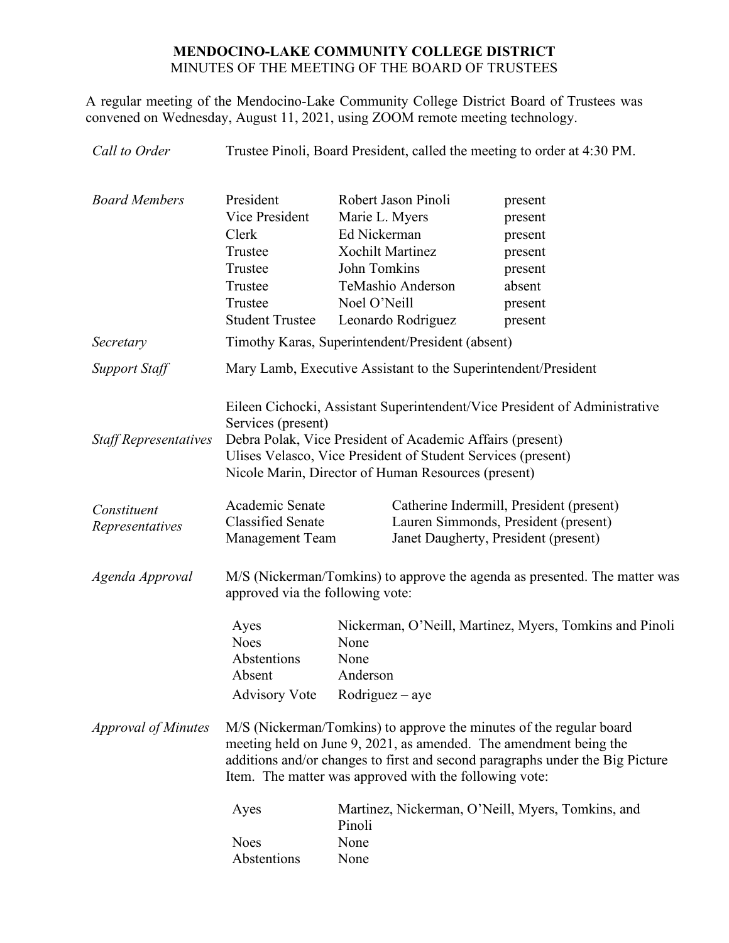## **MENDOCINO-LAKE COMMUNITY COLLEGE DISTRICT** MINUTES OF THE MEETING OF THE BOARD OF TRUSTEES

A regular meeting of the Mendocino-Lake Community College District Board of Trustees was convened on Wednesday, August 11, 2021, using ZOOM remote meeting technology.

*Call to Order* Trustee Pinoli, Board President, called the meeting to order at 4:30 PM. *Board Members* President Robert Jason Pinoli present Vice President Marie L. Myers present Clerk Ed Nickerman present Trustee Xochilt Martinez present Trustee John Tomkins present Trustee TeMashio Anderson absent Trustee Noel O'Neill present Student Trustee Leonardo Rodriguez present *Secretary* Timothy Karas, Superintendent/President (absent) *Support Staff* Mary Lamb, Executive Assistant to the Superintendent/President *Staff Representatives* Eileen Cichocki, Assistant Superintendent/Vice President of Administrative Services (present) Debra Polak, Vice President of Academic Affairs (present) Ulises Velasco, Vice President of Student Services (present) Nicole Marin, Director of Human Resources (present) *Constituent Representatives* Academic Senate Classified Senate Management Team Catherine Indermill, President (present) Lauren Simmonds, President (present) Janet Daugherty, President (present) *Agenda Approval* M/S (Nickerman/Tomkins) to approve the agenda as presented. The matter was approved via the following vote: Ayes Nickerman, O'Neill, Martinez, Myers, Tomkins and Pinoli Noes None Abstentions None Absent Anderson Advisory Vote Rodriguez – aye *Approval of Minutes* M/S (Nickerman/Tomkins) to approve the minutes of the regular board meeting held on June 9, 2021, as amended. The amendment being the additions and/or changes to first and second paragraphs under the Big Picture Item. The matter was approved with the following vote: Ayes Martinez, Nickerman, O'Neill, Myers, Tomkins, and Pinoli Noes None Abstentions None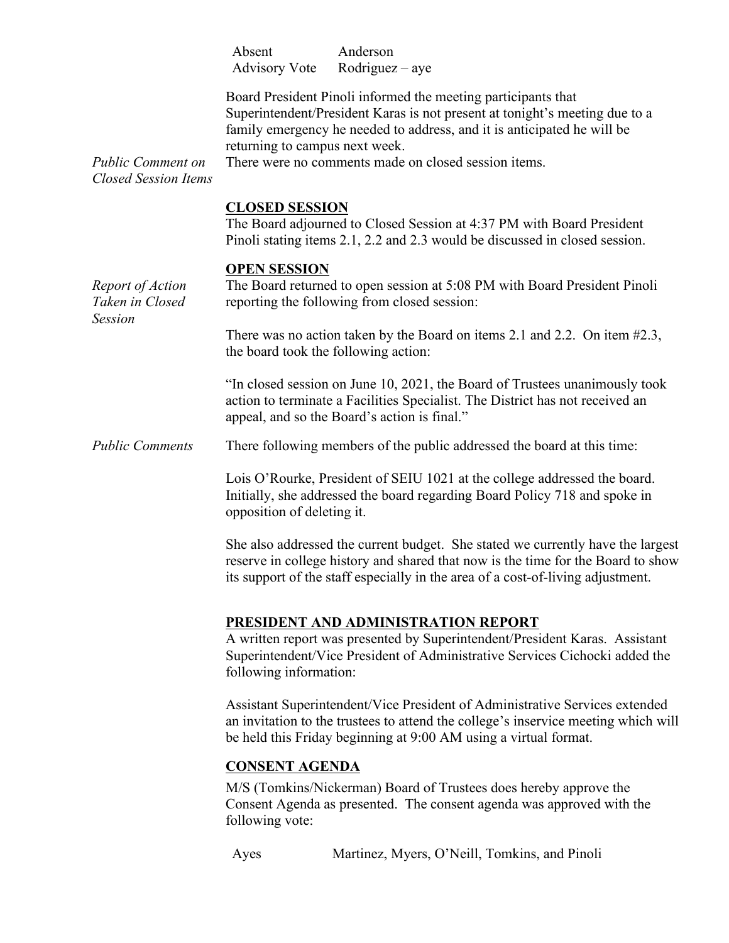Absent Anderson Advisory Vote Rodriguez – aye

Board President Pinoli informed the meeting participants that Superintendent/President Karas is not present at tonight's meeting due to a family emergency he needed to address, and it is anticipated he will be returning to campus next week.

*Public Comment on Closed Session Items*

There were no comments made on closed session items.

## **CLOSED SESSION**

The Board adjourned to Closed Session at 4:37 PM with Board President Pinoli stating items 2.1, 2.2 and 2.3 would be discussed in closed session.

#### **OPEN SESSION**

*Report of Action Taken in Closed Session* The Board returned to open session at 5:08 PM with Board President Pinoli reporting the following from closed session: There was no action taken by the Board on items 2.1 and 2.2. On item #2.3, the board took the following action: "In closed session on June 10, 2021, the Board of Trustees unanimously took action to terminate a Facilities Specialist. The District has not received an appeal, and so the Board's action is final." *Public Comments* There following members of the public addressed the board at this time: Lois O'Rourke, President of SEIU 1021 at the college addressed the board. Initially, she addressed the board regarding Board Policy 718 and spoke in opposition of deleting it. She also addressed the current budget. She stated we currently have the largest reserve in college history and shared that now is the time for the Board to show its support of the staff especially in the area of a cost-of-living adjustment. **PRESIDENT AND ADMINISTRATION REPORT** A written report was presented by Superintendent/President Karas. Assistant Superintendent/Vice President of Administrative Services Cichocki added the following information: Assistant Superintendent/Vice President of Administrative Services extended an invitation to the trustees to attend the college's inservice meeting which will be held this Friday beginning at 9:00 AM using a virtual format. **CONSENT AGENDA** M/S (Tomkins/Nickerman) Board of Trustees does hereby approve the Consent Agenda as presented. The consent agenda was approved with the following vote: Ayes Martinez, Myers, O'Neill, Tomkins, and Pinoli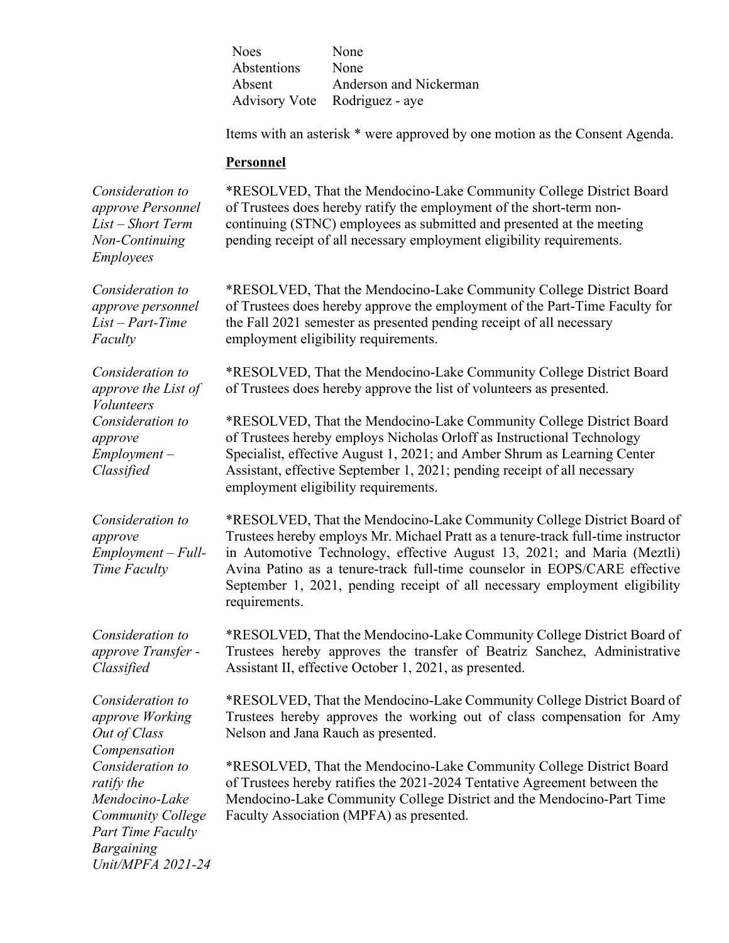| <b>Noes</b> | None                          |
|-------------|-------------------------------|
| Abstentions | None                          |
| Absent      | Anderson and Nickerman        |
|             | Advisory Vote Rodriguez - aye |

Items with an asterisk \* were approved by one motion as the Consent Agenda.

#### **Personnel**

*Consideration to approve Personnel List – Short Term Non-Continuing Employees*

*Consideration to approve personnel List – Part-Time* 

*Consideration to approve the List of* 

*Consideration to* 

*Faculty*

*Volunteers*

*approve Employment – Classified*

\*RESOLVED, That the Mendocino-Lake Community College District Board of Trustees does hereby ratify the employment of the short-term noncontinuing (STNC) employees as submitted and presented at the meeting pending receipt of all necessary employment eligibility requirements.

\*RESOLVED, That the Mendocino-Lake Community College District Board of Trustees does hereby approve the employment of the Part-Time Faculty for the Fall 2021 semester as presented pending receipt of all necessary employment eligibility requirements.

\*RESOLVED, That the Mendocino-Lake Community College District Board of Trustees does hereby approve the list of volunteers as presented.

\*RESOLVED, That the Mendocino-Lake Community College District Board of Trustees hereby employs Nicholas Orloff as Instructional Technology Specialist, effective August 1, 2021; and Amber Shrum as Learning Center Assistant, effective September 1, 2021; pending receipt of all necessary employment eligibility requirements.

*Consideration to approve Employment – Full-Time Faculty*

*Consideration to approve Transfer - Classified*

*Consideration to approve Working Out of Class Compensation Consideration to ratify the Mendocino-Lake Community College Part Time Faculty Bargaining Unit/MPFA 2021-24*  \*RESOLVED, That the Mendocino-Lake Community College District Board of Trustees hereby employs Mr. Michael Pratt as a tenure-track full-time instructor in Automotive Technology, effective August 13, 2021; and Maria (Meztli) Avina Patino as a tenure-track full-time counselor in EOPS/CARE effective September 1, 2021, pending receipt of all necessary employment eligibility requirements.

\*RESOLVED, That the Mendocino-Lake Community College District Board of Trustees hereby approves the transfer of Beatriz Sanchez, Administrative Assistant II, effective October 1, 2021, as presented.

\*RESOLVED, That the Mendocino-Lake Community College District Board of Trustees hereby approves the working out of class compensation for Amy Nelson and Jana Rauch as presented.

\*RESOLVED, That the Mendocino-Lake Community College District Board of Trustees hereby ratifies the 2021-2024 Tentative Agreement between the Mendocino-Lake Community College District and the Mendocino-Part Time Faculty Association (MPFA) as presented.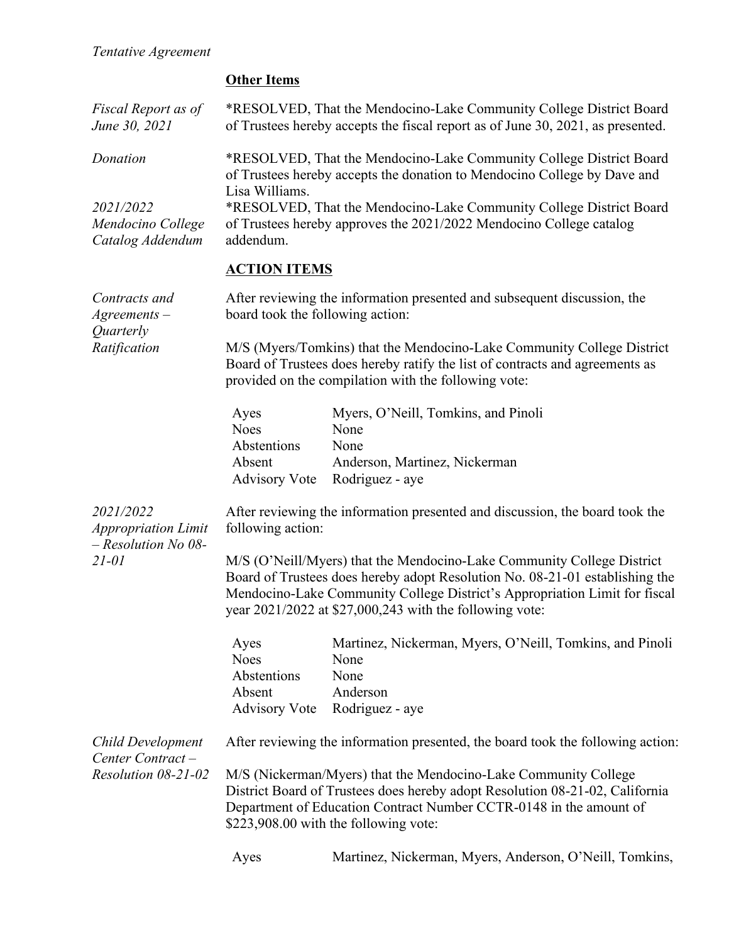|  | <b>Other Items</b> |
|--|--------------------|
|  |                    |

|                                                    | <b>Other Items</b>                                                                                                                                                |                                                                                                                                                                                                                |  |  |
|----------------------------------------------------|-------------------------------------------------------------------------------------------------------------------------------------------------------------------|----------------------------------------------------------------------------------------------------------------------------------------------------------------------------------------------------------------|--|--|
| Fiscal Report as of<br>June 30, 2021               |                                                                                                                                                                   | *RESOLVED, That the Mendocino-Lake Community College District Board<br>of Trustees hereby accepts the fiscal report as of June 30, 2021, as presented.                                                         |  |  |
| Donation                                           | *RESOLVED, That the Mendocino-Lake Community College District Board<br>of Trustees hereby accepts the donation to Mendocino College by Dave and<br>Lisa Williams. |                                                                                                                                                                                                                |  |  |
| 2021/2022<br>Mendocino College<br>Catalog Addendum | *RESOLVED, That the Mendocino-Lake Community College District Board<br>of Trustees hereby approves the 2021/2022 Mendocino College catalog<br>addendum.           |                                                                                                                                                                                                                |  |  |
|                                                    | <b>ACTION ITEMS</b>                                                                                                                                               |                                                                                                                                                                                                                |  |  |
| Contracts and<br>$A$ greements $-$<br>Quarterly    | After reviewing the information presented and subsequent discussion, the<br>board took the following action:                                                      |                                                                                                                                                                                                                |  |  |
| Ratification                                       |                                                                                                                                                                   | M/S (Myers/Tomkins) that the Mendocino-Lake Community College District<br>Board of Trustees does hereby ratify the list of contracts and agreements as<br>provided on the compilation with the following vote: |  |  |
|                                                    | Ayes<br><b>Noes</b><br>Abstentions<br>Absent<br><b>Advisory Vote</b>                                                                                              | Myers, O'Neill, Tomkins, and Pinoli<br>None<br>None<br>Anderson, Martinez, Nickerman<br>Rodriguez - aye                                                                                                        |  |  |
| 2021/2022                                          |                                                                                                                                                                   | After reviewing the information presented and discussion, the board took the                                                                                                                                   |  |  |

*Appropriation Limit – Resolution No 08- 21-01*

following action:

M/S (O'Neill/Myers) that the Mendocino-Lake Community College District Board of Trustees does hereby adopt Resolution No. 08-21-01 establishing the Mendocino-Lake Community College District's Appropriation Limit for fiscal year 2021/2022 at \$27,000,243 with the following vote:

| Ayes        | Martinez, Nickerman, Myers, O'Neill, Tomkins, and Pinoli |
|-------------|----------------------------------------------------------|
| <b>Noes</b> | None                                                     |
| Abstentions | None                                                     |
| Absent      | Anderson                                                 |
|             | Advisory Vote Rodriguez - aye                            |

| Child Development<br>Center Contract- | After reviewing the information presented, the board took the following action:                                                                                                                                                                                |
|---------------------------------------|----------------------------------------------------------------------------------------------------------------------------------------------------------------------------------------------------------------------------------------------------------------|
| Resolution 08-21-02                   | M/S (Nickerman/Myers) that the Mendocino-Lake Community College<br>District Board of Trustees does hereby adopt Resolution 08-21-02, California<br>Department of Education Contract Number CCTR-0148 in the amount of<br>\$223,908.00 with the following vote: |

Ayes Martinez, Nickerman, Myers, Anderson, O'Neill, Tomkins,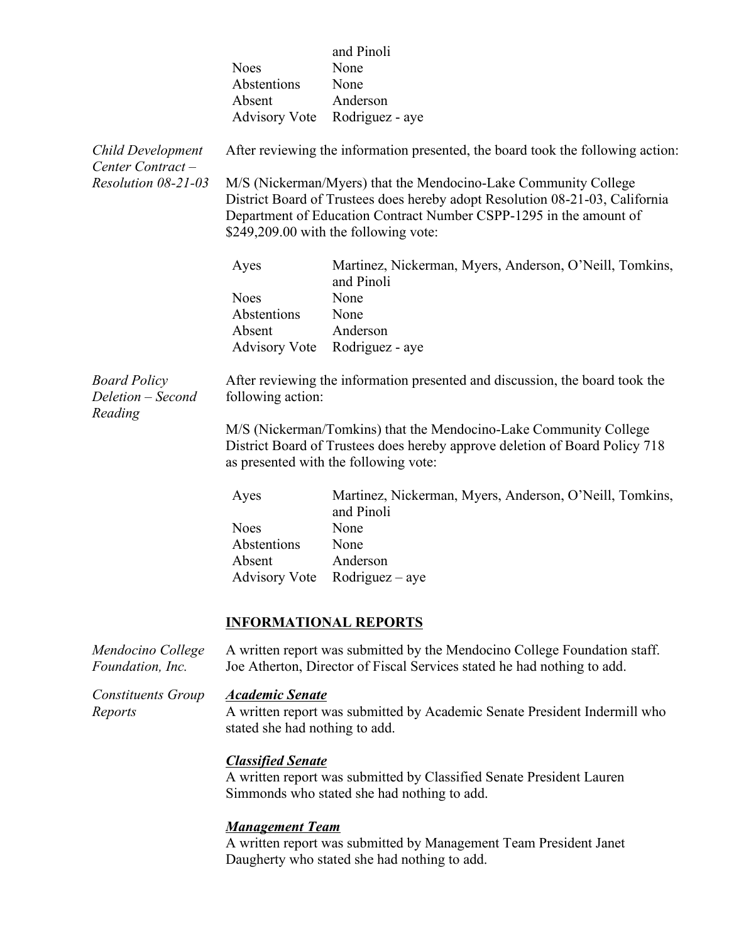| <b>Child Development</b><br>Center Contract-<br>Resolution 08-21-03 | <b>Noes</b><br>Abstentions<br>Absent                                                                                                                                                                                                                                                                                              | and Pinoli<br>None<br>None<br>Anderson<br>Advisory Vote Rodriguez - aye<br>After reviewing the information presented, the board took the following action: |  |  |
|---------------------------------------------------------------------|-----------------------------------------------------------------------------------------------------------------------------------------------------------------------------------------------------------------------------------------------------------------------------------------------------------------------------------|------------------------------------------------------------------------------------------------------------------------------------------------------------|--|--|
|                                                                     | M/S (Nickerman/Myers) that the Mendocino-Lake Community College<br>District Board of Trustees does hereby adopt Resolution 08-21-03, California<br>Department of Education Contract Number CSPP-1295 in the amount of<br>\$249,209.00 with the following vote:<br>Martinez, Nickerman, Myers, Anderson, O'Neill, Tomkins,<br>Ayes |                                                                                                                                                            |  |  |
|                                                                     | <b>Noes</b><br>Abstentions<br>Absent                                                                                                                                                                                                                                                                                              | and Pinoli<br>None<br>None<br>Anderson                                                                                                                     |  |  |
|                                                                     |                                                                                                                                                                                                                                                                                                                                   | Advisory Vote Rodriguez - aye                                                                                                                              |  |  |
| <b>Board Policy</b><br>Deletion – Second<br>Reading                 | following action:                                                                                                                                                                                                                                                                                                                 | After reviewing the information presented and discussion, the board took the                                                                               |  |  |
|                                                                     | M/S (Nickerman/Tomkins) that the Mendocino-Lake Community College<br>District Board of Trustees does hereby approve deletion of Board Policy 718<br>as presented with the following vote:                                                                                                                                         |                                                                                                                                                            |  |  |
|                                                                     | Ayes                                                                                                                                                                                                                                                                                                                              | Martinez, Nickerman, Myers, Anderson, O'Neill, Tomkins,<br>and Pinoli                                                                                      |  |  |
|                                                                     | <b>Noes</b><br>Abstentions                                                                                                                                                                                                                                                                                                        | None<br>None                                                                                                                                               |  |  |
|                                                                     | Absent<br><b>Advisory Vote</b>                                                                                                                                                                                                                                                                                                    | Anderson<br>$Rodriguez - aye$                                                                                                                              |  |  |
|                                                                     | <b>INFORMATIONAL REPORTS</b>                                                                                                                                                                                                                                                                                                      |                                                                                                                                                            |  |  |
| Mendocino College<br>Foundation, Inc.                               |                                                                                                                                                                                                                                                                                                                                   | A written report was submitted by the Mendocino College Foundation staff.<br>Joe Atherton, Director of Fiscal Services stated he had nothing to add.       |  |  |
| Constituents Group<br>Reports                                       | <b>Academic Senate</b><br>stated she had nothing to add.                                                                                                                                                                                                                                                                          | A written report was submitted by Academic Senate President Indermill who                                                                                  |  |  |
|                                                                     | <b>Classified Senate</b>                                                                                                                                                                                                                                                                                                          | A written report was submitted by Classified Senate President Lauren<br>Simmonds who stated she had nothing to add.                                        |  |  |

#### *Management Team*

A written report was submitted by Management Team President Janet Daugherty who stated she had nothing to add.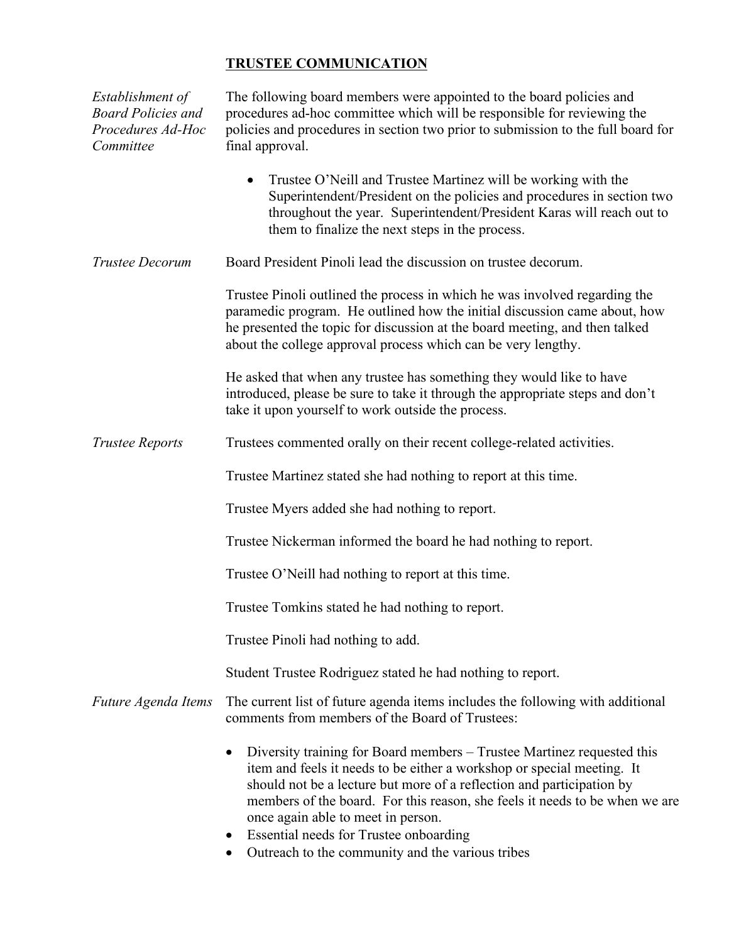# **TRUSTEE COMMUNICATION**

| Establishment of<br><b>Board Policies and</b><br>Procedures Ad-Hoc<br>Committee | The following board members were appointed to the board policies and<br>procedures ad-hoc committee which will be responsible for reviewing the<br>policies and procedures in section two prior to submission to the full board for<br>final approval.                                                                                                                                                                                                    |
|---------------------------------------------------------------------------------|-----------------------------------------------------------------------------------------------------------------------------------------------------------------------------------------------------------------------------------------------------------------------------------------------------------------------------------------------------------------------------------------------------------------------------------------------------------|
|                                                                                 | Trustee O'Neill and Trustee Martinez will be working with the<br>$\bullet$<br>Superintendent/President on the policies and procedures in section two<br>throughout the year. Superintendent/President Karas will reach out to<br>them to finalize the next steps in the process.                                                                                                                                                                          |
| <b>Trustee Decorum</b>                                                          | Board President Pinoli lead the discussion on trustee decorum.                                                                                                                                                                                                                                                                                                                                                                                            |
|                                                                                 | Trustee Pinoli outlined the process in which he was involved regarding the<br>paramedic program. He outlined how the initial discussion came about, how<br>he presented the topic for discussion at the board meeting, and then talked<br>about the college approval process which can be very lengthy.                                                                                                                                                   |
|                                                                                 | He asked that when any trustee has something they would like to have<br>introduced, please be sure to take it through the appropriate steps and don't<br>take it upon yourself to work outside the process.                                                                                                                                                                                                                                               |
| <b>Trustee Reports</b>                                                          | Trustees commented orally on their recent college-related activities.                                                                                                                                                                                                                                                                                                                                                                                     |
|                                                                                 | Trustee Martinez stated she had nothing to report at this time.                                                                                                                                                                                                                                                                                                                                                                                           |
|                                                                                 | Trustee Myers added she had nothing to report.                                                                                                                                                                                                                                                                                                                                                                                                            |
|                                                                                 | Trustee Nickerman informed the board he had nothing to report.                                                                                                                                                                                                                                                                                                                                                                                            |
|                                                                                 | Trustee O'Neill had nothing to report at this time.                                                                                                                                                                                                                                                                                                                                                                                                       |
|                                                                                 | Trustee Tomkins stated he had nothing to report.                                                                                                                                                                                                                                                                                                                                                                                                          |
|                                                                                 | Trustee Pinoli had nothing to add.                                                                                                                                                                                                                                                                                                                                                                                                                        |
|                                                                                 | Student Trustee Rodriguez stated he had nothing to report.                                                                                                                                                                                                                                                                                                                                                                                                |
| Future Agenda Items                                                             | The current list of future agenda items includes the following with additional<br>comments from members of the Board of Trustees:                                                                                                                                                                                                                                                                                                                         |
|                                                                                 | Diversity training for Board members – Trustee Martinez requested this<br>item and feels it needs to be either a workshop or special meeting. It<br>should not be a lecture but more of a reflection and participation by<br>members of the board. For this reason, she feels it needs to be when we are<br>once again able to meet in person.<br>Essential needs for Trustee onboarding<br>$\bullet$<br>Outreach to the community and the various tribes |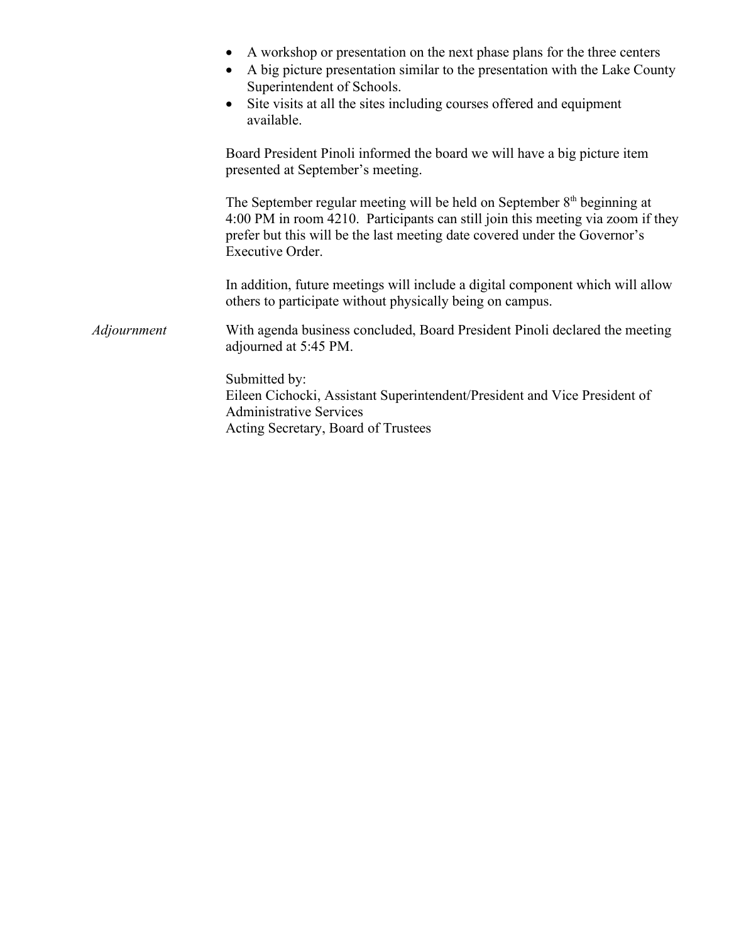|             | A workshop or presentation on the next phase plans for the three centers<br>A big picture presentation similar to the presentation with the Lake County<br>Superintendent of Schools.<br>Site visits at all the sites including courses offered and equipment<br>$\bullet$<br>available. |
|-------------|------------------------------------------------------------------------------------------------------------------------------------------------------------------------------------------------------------------------------------------------------------------------------------------|
|             | Board President Pinoli informed the board we will have a big picture item<br>presented at September's meeting.                                                                                                                                                                           |
|             | The September regular meeting will be held on September $8th$ beginning at<br>4:00 PM in room 4210. Participants can still join this meeting via zoom if they<br>prefer but this will be the last meeting date covered under the Governor's<br>Executive Order.                          |
|             | In addition, future meetings will include a digital component which will allow<br>others to participate without physically being on campus.                                                                                                                                              |
| Adjournment | With agenda business concluded, Board President Pinoli declared the meeting<br>adjourned at 5:45 PM.                                                                                                                                                                                     |
|             | Submitted by:<br>Eileen Cichocki, Assistant Superintendent/President and Vice President of<br><b>Administrative Services</b><br>Acting Secretary, Board of Trustees                                                                                                                      |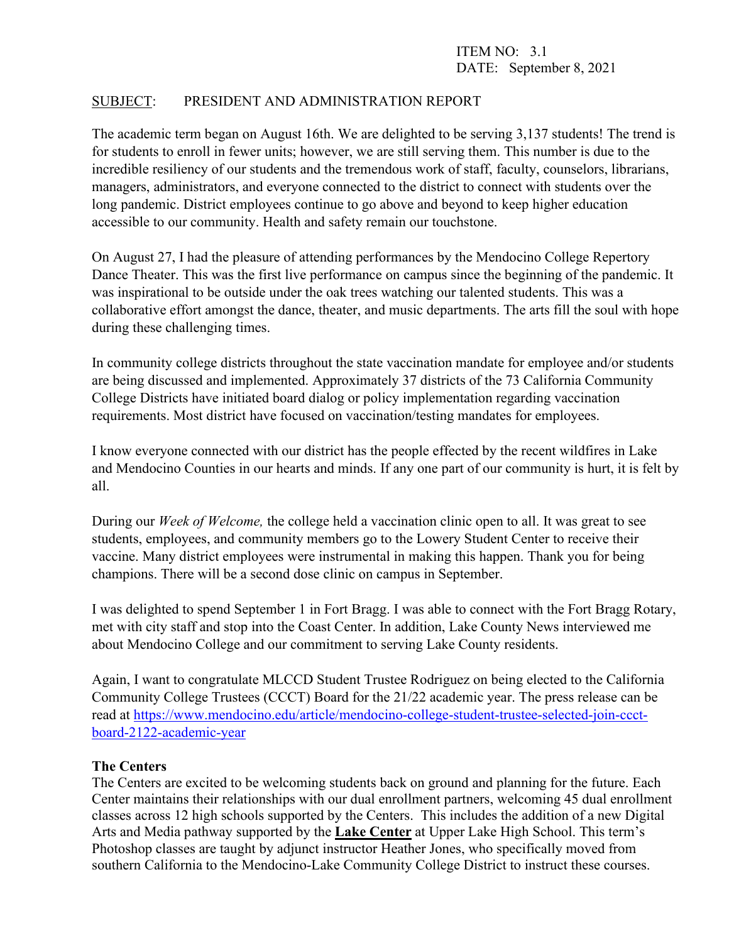## SUBJECT: PRESIDENT AND ADMINISTRATION REPORT

The academic term began on August 16th. We are delighted to be serving 3,137 students! The trend is for students to enroll in fewer units; however, we are still serving them. This number is due to the incredible resiliency of our students and the tremendous work of staff, faculty, counselors, librarians, managers, administrators, and everyone connected to the district to connect with students over the long pandemic. District employees continue to go above and beyond to keep higher education accessible to our community. Health and safety remain our touchstone.

On August 27, I had the pleasure of attending performances by the Mendocino College Repertory Dance Theater. This was the first live performance on campus since the beginning of the pandemic. It was inspirational to be outside under the oak trees watching our talented students. This was a collaborative effort amongst the dance, theater, and music departments. The arts fill the soul with hope during these challenging times.

In community college districts throughout the state vaccination mandate for employee and/or students are being discussed and implemented. Approximately 37 districts of the 73 California Community College Districts have initiated board dialog or policy implementation regarding vaccination requirements. Most district have focused on vaccination/testing mandates for employees.

I know everyone connected with our district has the people effected by the recent wildfires in Lake and Mendocino Counties in our hearts and minds. If any one part of our community is hurt, it is felt by all.

During our *Week of Welcome,* the college held a vaccination clinic open to all. It was great to see students, employees, and community members go to the Lowery Student Center to receive their vaccine. Many district employees were instrumental in making this happen. Thank you for being champions. There will be a second dose clinic on campus in September.

I was delighted to spend September 1 in Fort Bragg. I was able to connect with the Fort Bragg Rotary, met with city staff and stop into the Coast Center. In addition, Lake County News interviewed me about Mendocino College and our commitment to serving Lake County residents.

Again, I want to congratulate MLCCD Student Trustee Rodriguez on being elected to the California Community College Trustees (CCCT) Board for the 21/22 academic year. The press release can be read at [https://www.mendocino.edu/article/mendocino-college-student-trustee-selected-join-ccct](https://www.mendocino.edu/article/mendocino-college-student-trustee-selected-join-ccct-board-2122-academic-year)[board-2122-academic-year](https://www.mendocino.edu/article/mendocino-college-student-trustee-selected-join-ccct-board-2122-academic-year)

#### **The Centers**

The Centers are excited to be welcoming students back on ground and planning for the future. Each Center maintains their relationships with our dual enrollment partners, welcoming 45 dual enrollment classes across 12 high schools supported by the Centers. This includes the addition of a new Digital Arts and Media pathway supported by the **Lake Center** at Upper Lake High School. This term's Photoshop classes are taught by adjunct instructor Heather Jones, who specifically moved from southern California to the Mendocino-Lake Community College District to instruct these courses.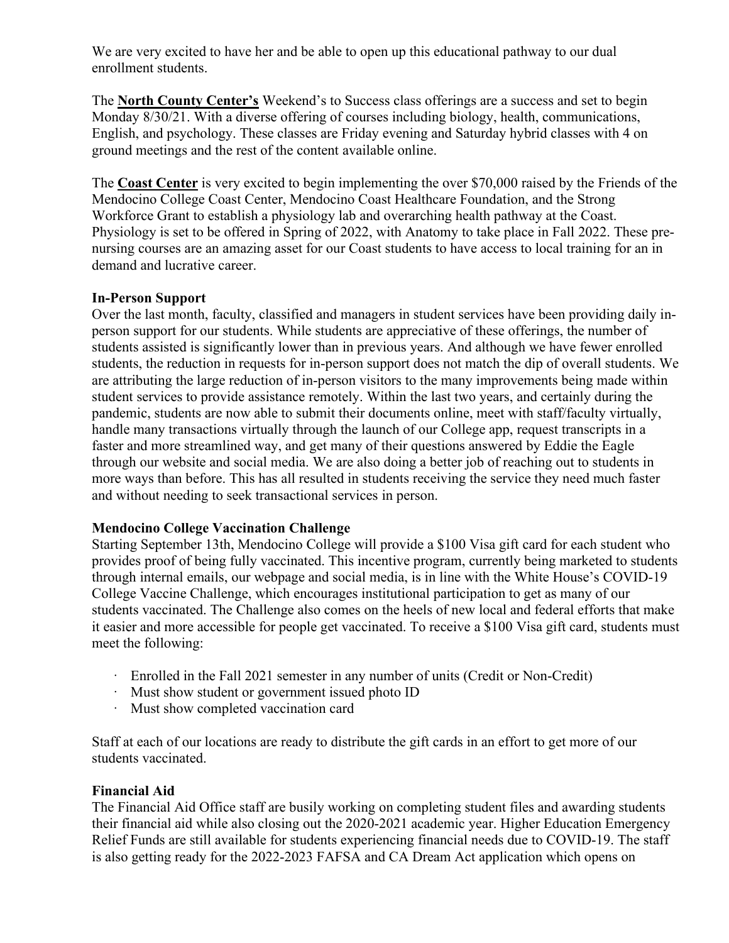We are very excited to have her and be able to open up this educational pathway to our dual enrollment students.

The **North County Center's** Weekend's to Success class offerings are a success and set to begin Monday 8/30/21. With a diverse offering of courses including biology, health, communications, English, and psychology. These classes are Friday evening and Saturday hybrid classes with 4 on ground meetings and the rest of the content available online.

The **Coast Center** is very excited to begin implementing the over \$70,000 raised by the Friends of the Mendocino College Coast Center, Mendocino Coast Healthcare Foundation, and the Strong Workforce Grant to establish a physiology lab and overarching health pathway at the Coast. Physiology is set to be offered in Spring of 2022, with Anatomy to take place in Fall 2022. These prenursing courses are an amazing asset for our Coast students to have access to local training for an in demand and lucrative career.

### **In-Person Support**

Over the last month, faculty, classified and managers in student services have been providing daily inperson support for our students. While students are appreciative of these offerings, the number of students assisted is significantly lower than in previous years. And although we have fewer enrolled students, the reduction in requests for in-person support does not match the dip of overall students. We are attributing the large reduction of in-person visitors to the many improvements being made within student services to provide assistance remotely. Within the last two years, and certainly during the pandemic, students are now able to submit their documents online, meet with staff/faculty virtually, handle many transactions virtually through the launch of our College app, request transcripts in a faster and more streamlined way, and get many of their questions answered by Eddie the Eagle through our website and social media. We are also doing a better job of reaching out to students in more ways than before. This has all resulted in students receiving the service they need much faster and without needing to seek transactional services in person.

## **Mendocino College Vaccination Challenge**

Starting September 13th, Mendocino College will provide a \$100 Visa gift card for each student who provides proof of being fully vaccinated. This incentive program, currently being marketed to students through internal emails, our webpage and social media, is in line with the White House's COVID-19 College Vaccine Challenge, which encourages institutional participation to get as many of our students vaccinated. The Challenge also comes on the heels of new local and federal efforts that make it easier and more accessible for people get vaccinated. To receive a \$100 Visa gift card, students must meet the following:

- · Enrolled in the Fall 2021 semester in any number of units (Credit or Non-Credit)
- · Must show student or government issued photo ID
- · Must show completed vaccination card

Staff at each of our locations are ready to distribute the gift cards in an effort to get more of our students vaccinated.

#### **Financial Aid**

The Financial Aid Office staff are busily working on completing student files and awarding students their financial aid while also closing out the 2020-2021 academic year. Higher Education Emergency Relief Funds are still available for students experiencing financial needs due to COVID-19. The staff is also getting ready for the 2022-2023 FAFSA and CA Dream Act application which opens on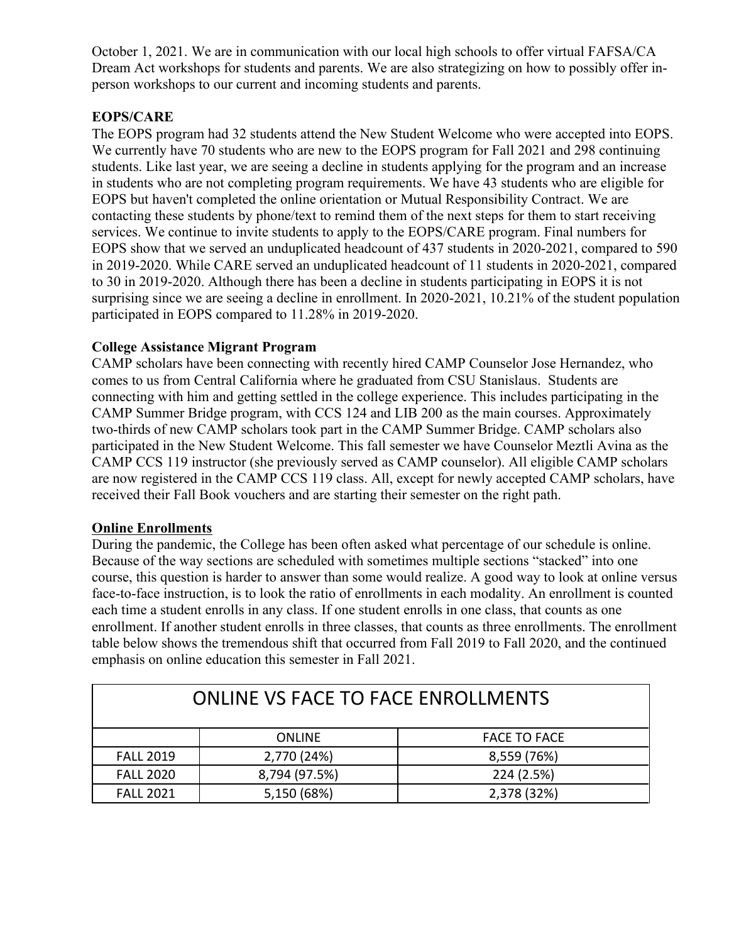October 1, 2021. We are in communication with our local high schools to offer virtual FAFSA/CA Dream Act workshops for students and parents. We are also strategizing on how to possibly offer inperson workshops to our current and incoming students and parents.

# **EOPS/CARE**

The EOPS program had 32 students attend the New Student Welcome who were accepted into EOPS. We currently have 70 students who are new to the EOPS program for Fall 2021 and 298 continuing students. Like last year, we are seeing a decline in students applying for the program and an increase in students who are not completing program requirements. We have 43 students who are eligible for EOPS but haven't completed the online orientation or Mutual Responsibility Contract. We are contacting these students by phone/text to remind them of the next steps for them to start receiving services. We continue to invite students to apply to the EOPS/CARE program. Final numbers for EOPS show that we served an unduplicated headcount of 437 students in 2020-2021, compared to 590 in 2019-2020. While CARE served an unduplicated headcount of 11 students in 2020-2021, compared to 30 in 2019-2020. Although there has been a decline in students participating in EOPS it is not surprising since we are seeing a decline in enrollment. In 2020-2021, 10.21% of the student population participated in EOPS compared to 11.28% in 2019-2020.

## **College Assistance Migrant Program**

CAMP scholars have been connecting with recently hired CAMP Counselor Jose Hernandez, who comes to us from Central California where he graduated from CSU Stanislaus. Students are connecting with him and getting settled in the college experience. This includes participating in the CAMP Summer Bridge program, with CCS 124 and LIB 200 as the main courses. Approximately two-thirds of new CAMP scholars took part in the CAMP Summer Bridge. CAMP scholars also participated in the New Student Welcome. This fall semester we have Counselor Meztli Avina as the CAMP CCS 119 instructor (she previously served as CAMP counselor). All eligible CAMP scholars are now registered in the CAMP CCS 119 class. All, except for newly accepted CAMP scholars, have received their Fall Book vouchers and are starting their semester on the right path.

## **Online Enrollments**

During the pandemic, the College has been often asked what percentage of our schedule is online. Because of the way sections are scheduled with sometimes multiple sections "stacked" into one course, this question is harder to answer than some would realize. A good way to look at online versus face-to-face instruction, is to look the ratio of enrollments in each modality. An enrollment is counted each time a student enrolls in any class. If one student enrolls in one class, that counts as one enrollment. If another student enrolls in three classes, that counts as three enrollments. The enrollment table below shows the tremendous shift that occurred from Fall 2019 to Fall 2020, and the continued emphasis on online education this semester in Fall 2021.

| <b>ONLINE VS FACE TO FACE ENROLLMENTS</b> |               |                     |  |
|-------------------------------------------|---------------|---------------------|--|
|                                           | <b>ONLINE</b> | <b>FACE TO FACE</b> |  |
| <b>FALL 2019</b>                          | 2,770 (24%)   | 8,559 (76%)         |  |
| <b>FALL 2020</b>                          | 8,794 (97.5%) | 224 (2.5%)          |  |
| <b>FALL 2021</b>                          | 5,150 (68%)   | 2,378 (32%)         |  |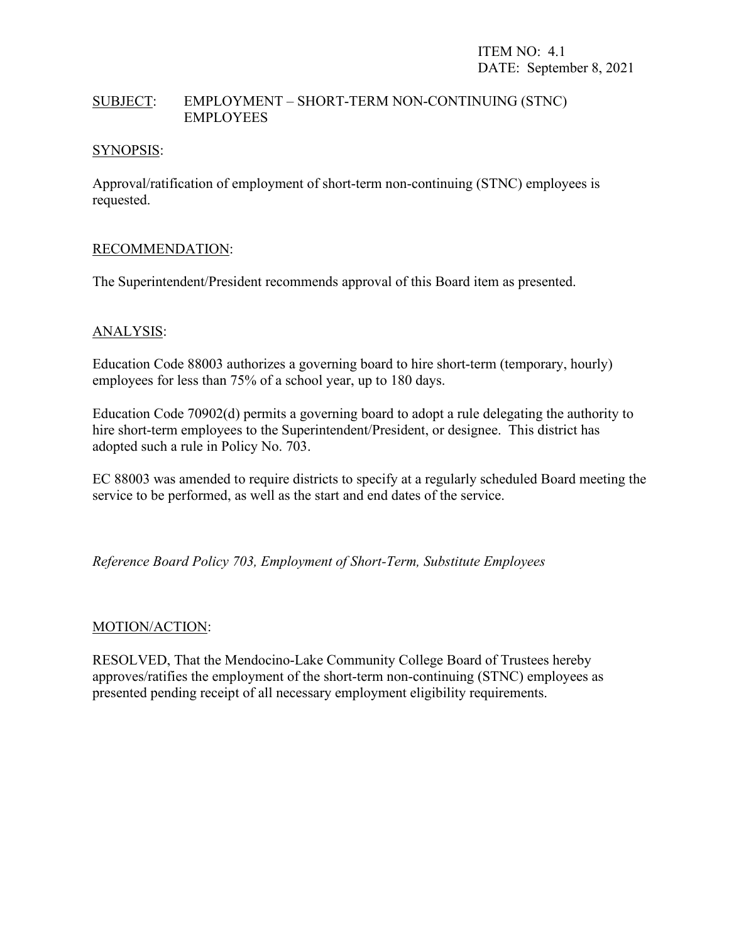### SUBJECT: EMPLOYMENT – SHORT-TERM NON-CONTINUING (STNC) EMPLOYEES

#### SYNOPSIS:

Approval/ratification of employment of short-term non-continuing (STNC) employees is requested.

#### RECOMMENDATION:

The Superintendent/President recommends approval of this Board item as presented.

### ANALYSIS:

Education Code 88003 authorizes a governing board to hire short-term (temporary, hourly) employees for less than 75% of a school year, up to 180 days.

Education Code 70902(d) permits a governing board to adopt a rule delegating the authority to hire short-term employees to the Superintendent/President, or designee. This district has adopted such a rule in Policy No. 703.

EC 88003 was amended to require districts to specify at a regularly scheduled Board meeting the service to be performed, as well as the start and end dates of the service.

*Reference Board Policy 703, Employment of Short-Term, Substitute Employees*

#### MOTION/ACTION:

RESOLVED, That the Mendocino-Lake Community College Board of Trustees hereby approves/ratifies the employment of the short-term non-continuing (STNC) employees as presented pending receipt of all necessary employment eligibility requirements.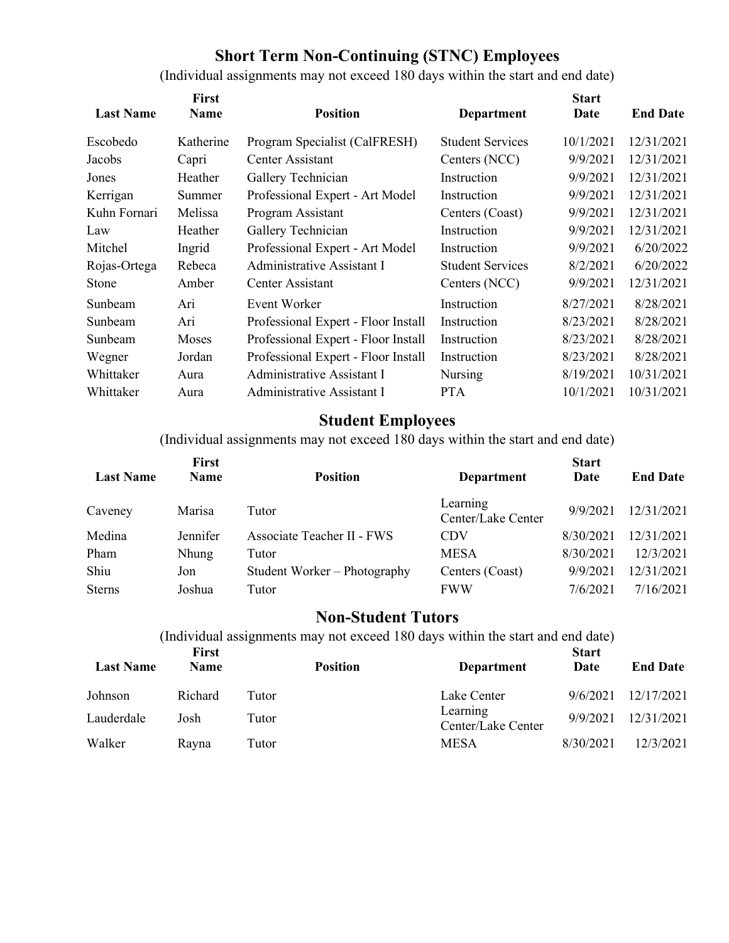# **Short Term Non-Continuing (STNC) Employees**

(Individual assignments may not exceed 180 days within the start and end date)

| <b>Last Name</b> | First<br><b>Name</b> | <b>Position</b>                     | <b>Department</b>       | <b>Start</b><br>Date | <b>End Date</b> |
|------------------|----------------------|-------------------------------------|-------------------------|----------------------|-----------------|
|                  |                      |                                     |                         |                      |                 |
| Escobedo         | Katherine            | Program Specialist (CalFRESH)       | <b>Student Services</b> | 10/1/2021            | 12/31/2021      |
| Jacobs           | Capri                | Center Assistant                    | Centers (NCC)           | 9/9/2021             | 12/31/2021      |
| Jones            | Heather              | Gallery Technician                  | Instruction             | 9/9/2021             | 12/31/2021      |
| Kerrigan         | Summer               | Professional Expert - Art Model     | Instruction             | 9/9/2021             | 12/31/2021      |
| Kuhn Fornari     | Melissa              | Program Assistant                   | Centers (Coast)         | 9/9/2021             | 12/31/2021      |
| Law              | Heather              | Gallery Technician                  | Instruction             | 9/9/2021             | 12/31/2021      |
| Mitchel          | Ingrid               | Professional Expert - Art Model     | Instruction             | 9/9/2021             | 6/20/2022       |
| Rojas-Ortega     | Rebeca               | Administrative Assistant I          | <b>Student Services</b> | 8/2/2021             | 6/20/2022       |
| Stone            | Amber                | Center Assistant                    | Centers (NCC)           | 9/9/2021             | 12/31/2021      |
| Sunbeam          | Ari                  | Event Worker                        | Instruction             | 8/27/2021            | 8/28/2021       |
| Sunbeam          | Ari                  | Professional Expert - Floor Install | Instruction             | 8/23/2021            | 8/28/2021       |
| Sunbeam          | Moses                | Professional Expert - Floor Install | Instruction             | 8/23/2021            | 8/28/2021       |
| Wegner           | Jordan               | Professional Expert - Floor Install | Instruction             | 8/23/2021            | 8/28/2021       |
| Whittaker        | Aura                 | Administrative Assistant I          | Nursing                 | 8/19/2021            | 10/31/2021      |
| Whittaker        | Aura                 | Administrative Assistant I          | <b>PTA</b>              | 10/1/2021            | 10/31/2021      |

# **Student Employees**

(Individual assignments may not exceed 180 days within the start and end date)

| <b>Last Name</b> | First<br><b>Name</b> | <b>Position</b>              | <b>Department</b>              | <b>Start</b><br>Date | <b>End Date</b> |
|------------------|----------------------|------------------------------|--------------------------------|----------------------|-----------------|
| Caveney          | Marisa               | Tutor                        | Learning<br>Center/Lake Center | 9/9/2021             | 12/31/2021      |
| Medina           | Jennifer             | Associate Teacher II - FWS   | <b>CDV</b>                     | 8/30/2021            | 12/31/2021      |
| Pham             | <b>Nhung</b>         | Tutor                        | <b>MESA</b>                    | 8/30/2021            | 12/3/2021       |
| Shiu             | Jon                  | Student Worker – Photography | Centers (Coast)                | 9/9/2021             | 12/31/2021      |
| <b>Sterns</b>    | Joshua               | Tutor                        | <b>FWW</b>                     | 7/6/2021             | 7/16/2021       |

# **Non-Student Tutors**

(Individual assignments may not exceed 180 days within the start and end date)

| <b>Last Name</b> | <b>First</b><br><b>Name</b> | <b>Position</b> | <b>Department</b>              | <b>Start</b><br>Date | <b>End Date</b> |
|------------------|-----------------------------|-----------------|--------------------------------|----------------------|-----------------|
| Johnson          | Richard                     | Tutor           | Lake Center                    | 9/6/2021             | 12/17/2021      |
| Lauderdale       | Josh                        | Tutor           | Learning<br>Center/Lake Center | 9/9/2021             | 12/31/2021      |
| Walker           | Ravna                       | Tutor           | <b>MESA</b>                    | 8/30/2021            | 12/3/2021       |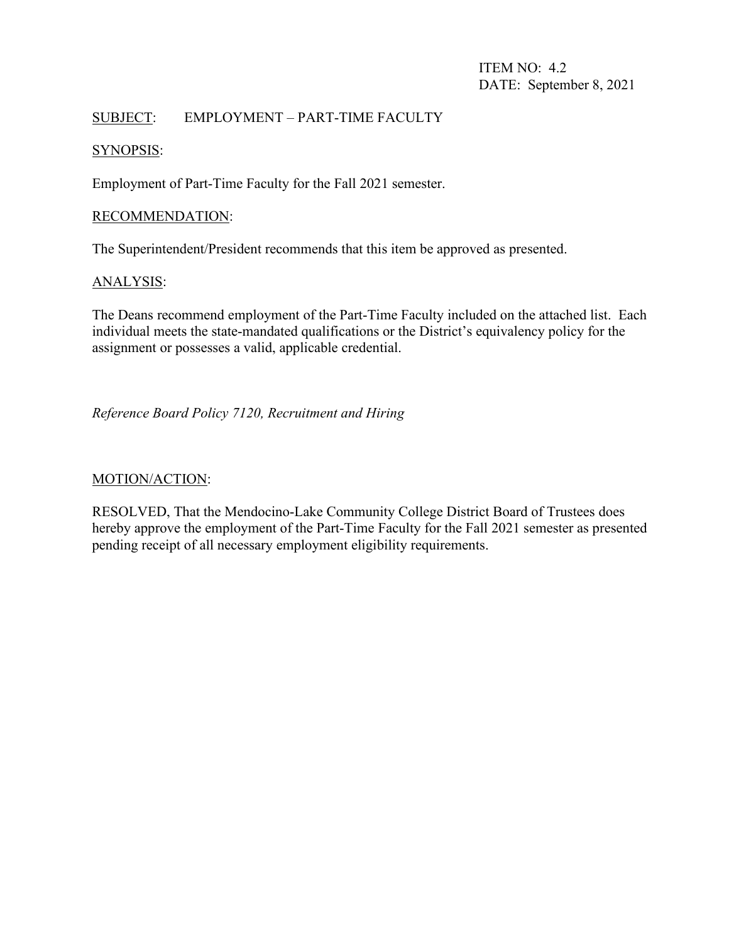ITEM NO: 4.2 DATE: September 8, 2021

## SUBJECT: EMPLOYMENT – PART-TIME FACULTY

#### SYNOPSIS:

Employment of Part-Time Faculty for the Fall 2021 semester.

#### RECOMMENDATION:

The Superintendent/President recommends that this item be approved as presented.

#### ANALYSIS:

The Deans recommend employment of the Part-Time Faculty included on the attached list. Each individual meets the state-mandated qualifications or the District's equivalency policy for the assignment or possesses a valid, applicable credential.

### *Reference Board Policy 7120, Recruitment and Hiring*

#### MOTION/ACTION:

RESOLVED, That the Mendocino-Lake Community College District Board of Trustees does hereby approve the employment of the Part-Time Faculty for the Fall 2021 semester as presented pending receipt of all necessary employment eligibility requirements.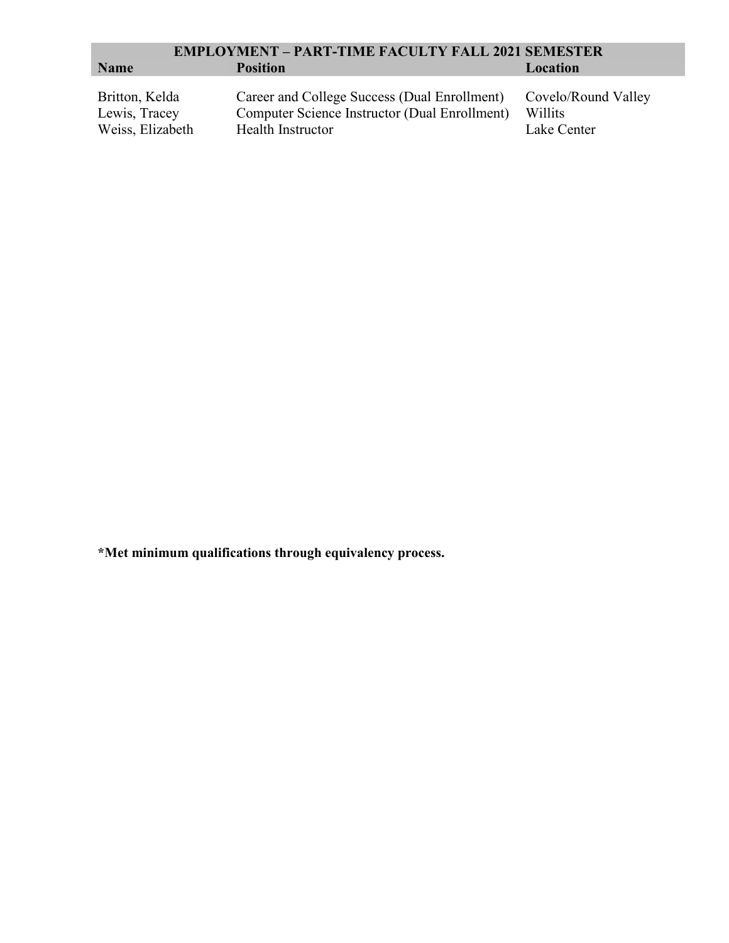| <b>EMPLOYMENT - PART-TIME FACULTY FALL 2021 SEMESTER</b> |                                               |                     |  |
|----------------------------------------------------------|-----------------------------------------------|---------------------|--|
| <b>Name</b>                                              | <b>Position</b>                               | Location            |  |
|                                                          |                                               |                     |  |
| Britton, Kelda                                           | Career and College Success (Dual Enrollment)  | Covelo/Round Valley |  |
| Lewis, Tracey                                            | Computer Science Instructor (Dual Enrollment) | Willits             |  |
| Weiss, Elizabeth                                         | Health Instructor                             | Lake Center         |  |

**\*Met minimum qualifications through equivalency process.**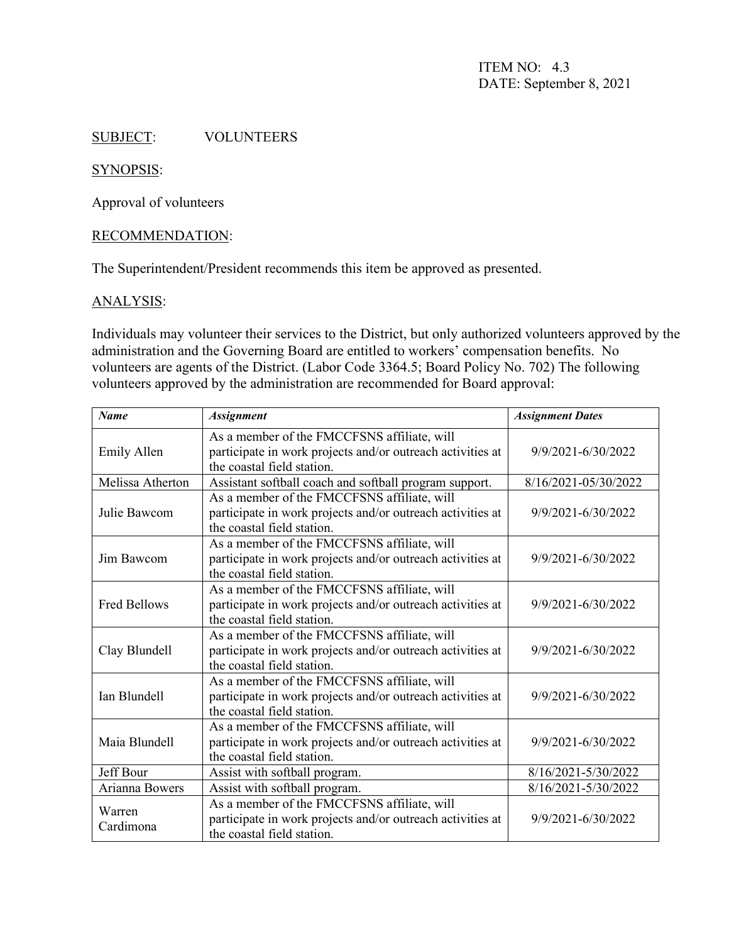ITEM NO: 4.3 DATE: September 8, 2021

#### SUBJECT: VOLUNTEERS

#### SYNOPSIS:

Approval of volunteers

#### RECOMMENDATION:

The Superintendent/President recommends this item be approved as presented.

#### ANALYSIS:

Individuals may volunteer their services to the District, but only authorized volunteers approved by the administration and the Governing Board are entitled to workers' compensation benefits. No volunteers are agents of the District. (Labor Code 3364.5; Board Policy No. 702) The following volunteers approved by the administration are recommended for Board approval:

| <b>Name</b>                                                                                                                                             | <b>Assignment</b>                                                                                                                       | <b>Assignment Dates</b> |
|---------------------------------------------------------------------------------------------------------------------------------------------------------|-----------------------------------------------------------------------------------------------------------------------------------------|-------------------------|
| <b>Emily Allen</b>                                                                                                                                      | As a member of the FMCCFSNS affiliate, will<br>participate in work projects and/or outreach activities at<br>the coastal field station. | 9/9/2021-6/30/2022      |
| Melissa Atherton                                                                                                                                        | Assistant softball coach and softball program support.                                                                                  |                         |
| Julie Bawcom                                                                                                                                            | As a member of the FMCCFSNS affiliate, will<br>participate in work projects and/or outreach activities at<br>the coastal field station. | 9/9/2021-6/30/2022      |
| Jim Bawcom                                                                                                                                              | As a member of the FMCCFSNS affiliate, will<br>participate in work projects and/or outreach activities at<br>the coastal field station. | 9/9/2021-6/30/2022      |
| <b>Fred Bellows</b>                                                                                                                                     | As a member of the FMCCFSNS affiliate, will<br>participate in work projects and/or outreach activities at<br>the coastal field station. | 9/9/2021-6/30/2022      |
| Clay Blundell                                                                                                                                           | As a member of the FMCCFSNS affiliate, will<br>participate in work projects and/or outreach activities at<br>the coastal field station. | 9/9/2021-6/30/2022      |
| As a member of the FMCCFSNS affiliate, will<br>Ian Blundell<br>participate in work projects and/or outreach activities at<br>the coastal field station. |                                                                                                                                         | 9/9/2021-6/30/2022      |
| Maia Blundell                                                                                                                                           | As a member of the FMCCFSNS affiliate, will<br>participate in work projects and/or outreach activities at<br>the coastal field station. | 9/9/2021-6/30/2022      |
| Jeff Bour                                                                                                                                               | Assist with softball program.                                                                                                           | 8/16/2021-5/30/2022     |
| Arianna Bowers                                                                                                                                          | Assist with softball program.                                                                                                           | 8/16/2021-5/30/2022     |
| Warren<br>Cardimona                                                                                                                                     | As a member of the FMCCFSNS affiliate, will<br>participate in work projects and/or outreach activities at<br>the coastal field station. | 9/9/2021-6/30/2022      |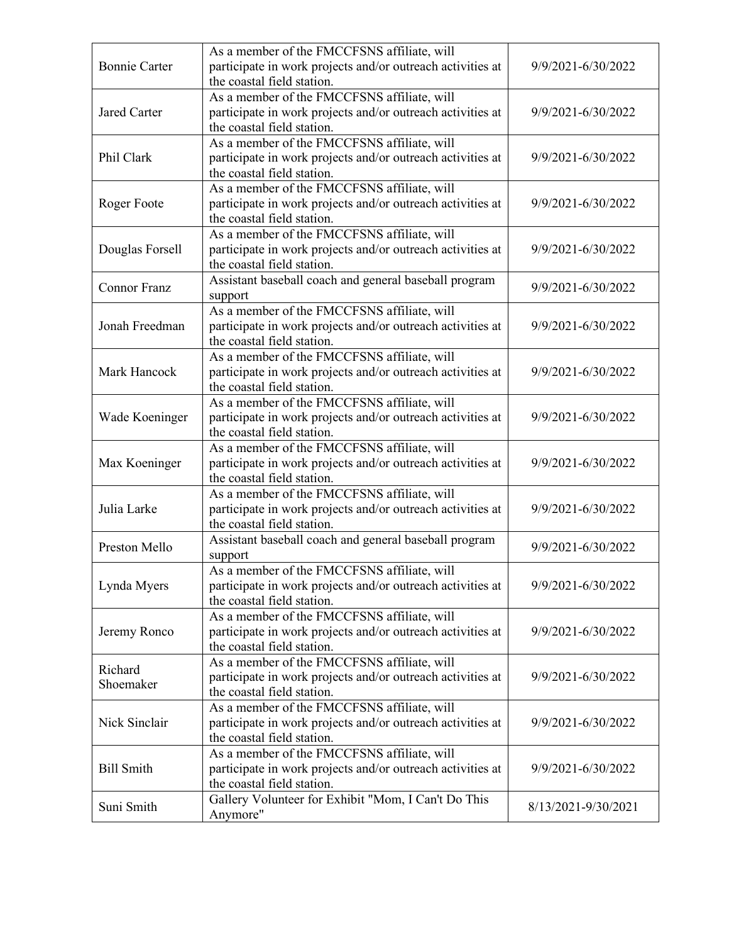| <b>Bonnie Carter</b>                                                          | As a member of the FMCCFSNS affiliate, will<br>participate in work projects and/or outreach activities at<br>the coastal field station.                       | 9/9/2021-6/30/2022  |
|-------------------------------------------------------------------------------|---------------------------------------------------------------------------------------------------------------------------------------------------------------|---------------------|
| Jared Carter                                                                  | As a member of the FMCCFSNS affiliate, will<br>participate in work projects and/or outreach activities at<br>the coastal field station.                       | 9/9/2021-6/30/2022  |
| Phil Clark                                                                    | As a member of the FMCCFSNS affiliate, will<br>participate in work projects and/or outreach activities at<br>the coastal field station.                       | 9/9/2021-6/30/2022  |
| Roger Foote                                                                   | As a member of the FMCCFSNS affiliate, will<br>participate in work projects and/or outreach activities at<br>the coastal field station.                       | 9/9/2021-6/30/2022  |
| Douglas Forsell                                                               | As a member of the FMCCFSNS affiliate, will<br>participate in work projects and/or outreach activities at<br>the coastal field station.                       | 9/9/2021-6/30/2022  |
| <b>Connor Franz</b>                                                           | Assistant baseball coach and general baseball program<br>support                                                                                              | 9/9/2021-6/30/2022  |
| Jonah Freedman                                                                | As a member of the FMCCFSNS affiliate, will<br>participate in work projects and/or outreach activities at<br>9/9/2021-6/30/2022<br>the coastal field station. |                     |
| Mark Hancock                                                                  | As a member of the FMCCFSNS affiliate, will<br>participate in work projects and/or outreach activities at<br>the coastal field station.                       | 9/9/2021-6/30/2022  |
| Wade Koeninger                                                                | As a member of the FMCCFSNS affiliate, will<br>participate in work projects and/or outreach activities at<br>the coastal field station.                       | 9/9/2021-6/30/2022  |
| Max Koeninger                                                                 | As a member of the FMCCFSNS affiliate, will<br>participate in work projects and/or outreach activities at<br>the coastal field station.                       | 9/9/2021-6/30/2022  |
| Julia Larke                                                                   | As a member of the FMCCFSNS affiliate, will<br>participate in work projects and/or outreach activities at<br>the coastal field station.                       | 9/9/2021-6/30/2022  |
| Preston Mello                                                                 | Assistant baseball coach and general baseball program<br>support                                                                                              |                     |
| Lynda Myers                                                                   | As a member of the FMCCFSNS affiliate, will<br>participate in work projects and/or outreach activities at<br>the coastal field station.                       | 9/9/2021-6/30/2022  |
| Jeremy Ronco                                                                  | As a member of the FMCCFSNS affiliate, will<br>participate in work projects and/or outreach activities at<br>the coastal field station.                       | 9/9/2021-6/30/2022  |
| Richard<br>Shoemaker                                                          | As a member of the FMCCFSNS affiliate, will<br>participate in work projects and/or outreach activities at<br>9/9/2021-6/30/2022<br>the coastal field station. |                     |
| Nick Sinclair                                                                 | As a member of the FMCCFSNS affiliate, will<br>participate in work projects and/or outreach activities at<br>the coastal field station.                       |                     |
| <b>Bill Smith</b>                                                             | As a member of the FMCCFSNS affiliate, will<br>participate in work projects and/or outreach activities at<br>the coastal field station.                       | 9/9/2021-6/30/2022  |
| Gallery Volunteer for Exhibit "Mom, I Can't Do This<br>Suni Smith<br>Anymore" |                                                                                                                                                               | 8/13/2021-9/30/2021 |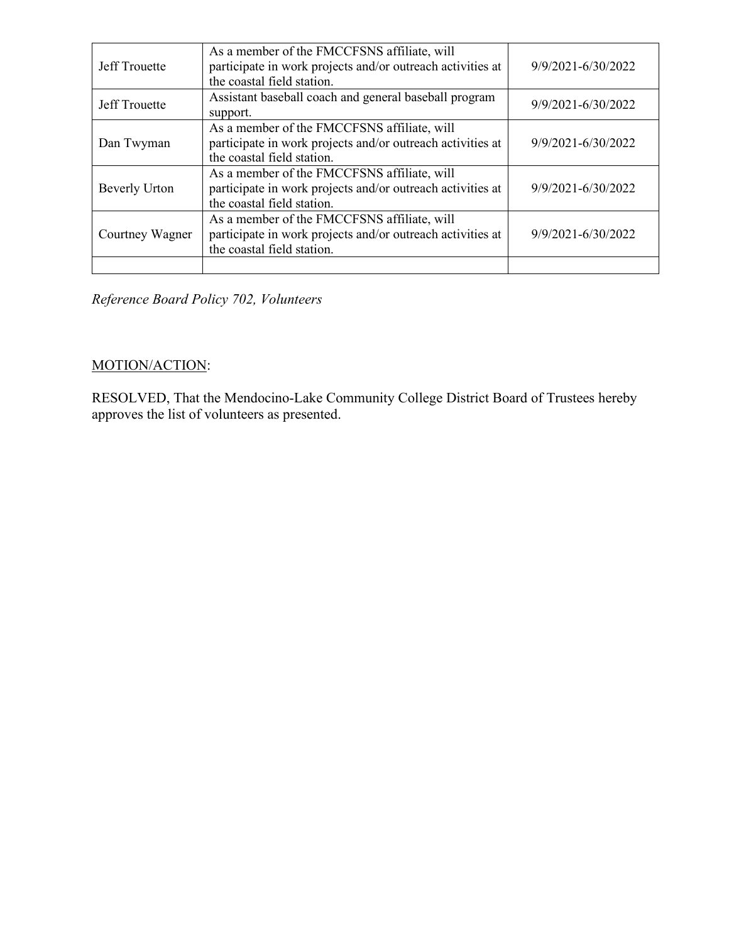| <b>Jeff Trouette</b> | As a member of the FMCCFSNS affiliate, will<br>participate in work projects and/or outreach activities at<br>the coastal field station. | 9/9/2021-6/30/2022 |
|----------------------|-----------------------------------------------------------------------------------------------------------------------------------------|--------------------|
| <b>Jeff Trouette</b> | Assistant baseball coach and general baseball program<br>9/9/2021-6/30/2022<br>support.                                                 |                    |
| Dan Twyman           | As a member of the FMCCFSNS affiliate, will<br>participate in work projects and/or outreach activities at<br>the coastal field station. | 9/9/2021-6/30/2022 |
| Beverly Urton        | As a member of the FMCCFSNS affiliate, will<br>participate in work projects and/or outreach activities at<br>the coastal field station. | 9/9/2021-6/30/2022 |
| Courtney Wagner      | As a member of the FMCCFSNS affiliate, will<br>participate in work projects and/or outreach activities at<br>the coastal field station. | 9/9/2021-6/30/2022 |
|                      |                                                                                                                                         |                    |

*Reference Board Policy 702, Volunteers*

## MOTION/ACTION:

RESOLVED, That the Mendocino-Lake Community College District Board of Trustees hereby approves the list of volunteers as presented.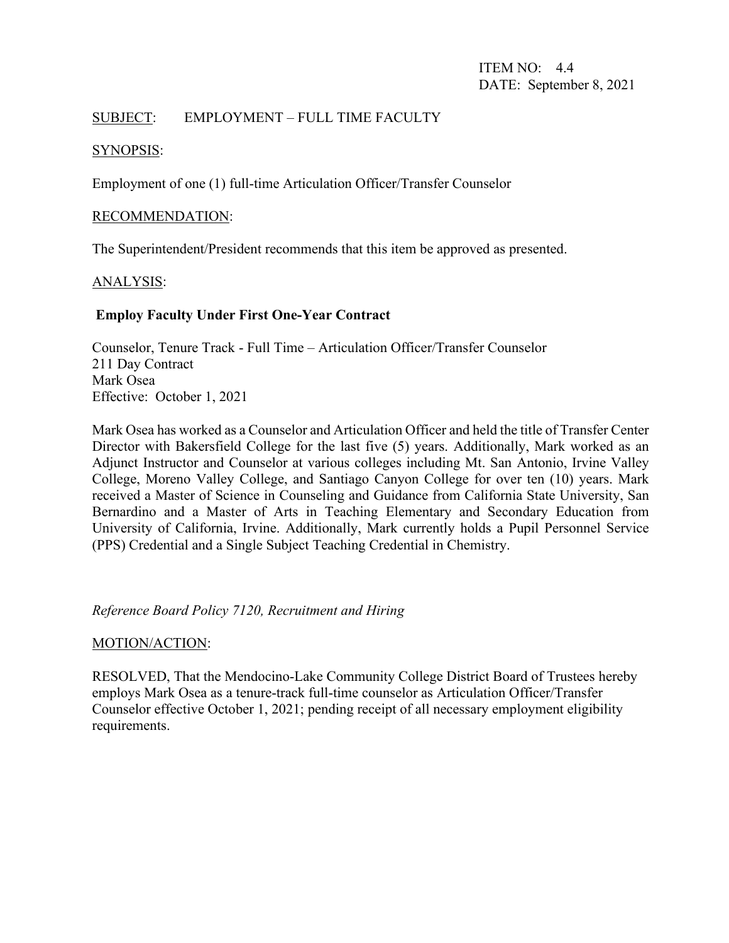## SUBJECT: EMPLOYMENT – FULL TIME FACULTY

### SYNOPSIS:

Employment of one (1) full-time Articulation Officer/Transfer Counselor

#### RECOMMENDATION:

The Superintendent/President recommends that this item be approved as presented.

#### ANALYSIS:

## **Employ Faculty Under First One-Year Contract**

Counselor, Tenure Track - Full Time – Articulation Officer/Transfer Counselor 211 Day Contract Mark Osea Effective: October 1, 2021

Mark Osea has worked as a Counselor and Articulation Officer and held the title of Transfer Center Director with Bakersfield College for the last five (5) years. Additionally, Mark worked as an Adjunct Instructor and Counselor at various colleges including Mt. San Antonio, Irvine Valley College, Moreno Valley College, and Santiago Canyon College for over ten (10) years. Mark received a Master of Science in Counseling and Guidance from California State University, San Bernardino and a Master of Arts in Teaching Elementary and Secondary Education from University of California, Irvine. Additionally, Mark currently holds a Pupil Personnel Service (PPS) Credential and a Single Subject Teaching Credential in Chemistry.

*Reference Board Policy 7120, Recruitment and Hiring*

#### MOTION/ACTION:

RESOLVED, That the Mendocino-Lake Community College District Board of Trustees hereby employs Mark Osea as a tenure-track full-time counselor as Articulation Officer/Transfer Counselor effective October 1, 2021; pending receipt of all necessary employment eligibility requirements.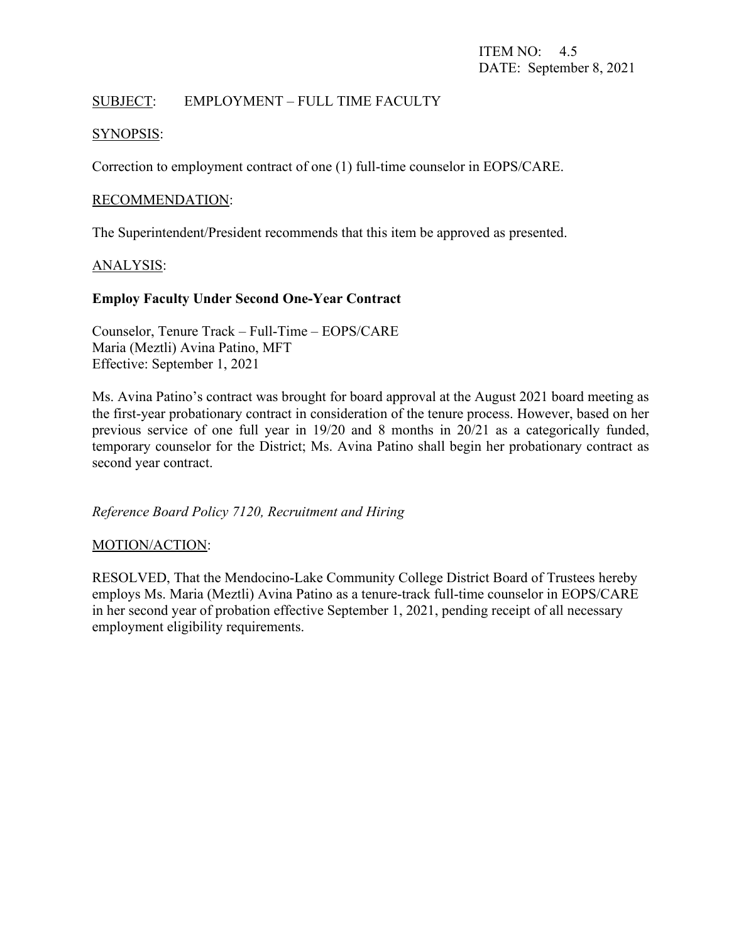## SUBJECT: EMPLOYMENT – FULL TIME FACULTY

#### SYNOPSIS:

Correction to employment contract of one (1) full-time counselor in EOPS/CARE.

#### RECOMMENDATION:

The Superintendent/President recommends that this item be approved as presented.

#### ANALYSIS:

#### **Employ Faculty Under Second One-Year Contract**

Counselor, Tenure Track – Full-Time – EOPS/CARE Maria (Meztli) Avina Patino, MFT Effective: September 1, 2021

Ms. Avina Patino's contract was brought for board approval at the August 2021 board meeting as the first-year probationary contract in consideration of the tenure process. However, based on her previous service of one full year in 19/20 and 8 months in 20/21 as a categorically funded, temporary counselor for the District; Ms. Avina Patino shall begin her probationary contract as second year contract.

*Reference Board Policy 7120, Recruitment and Hiring*

#### MOTION/ACTION:

RESOLVED, That the Mendocino-Lake Community College District Board of Trustees hereby employs Ms. Maria (Meztli) Avina Patino as a tenure-track full-time counselor in EOPS/CARE in her second year of probation effective September 1, 2021, pending receipt of all necessary employment eligibility requirements.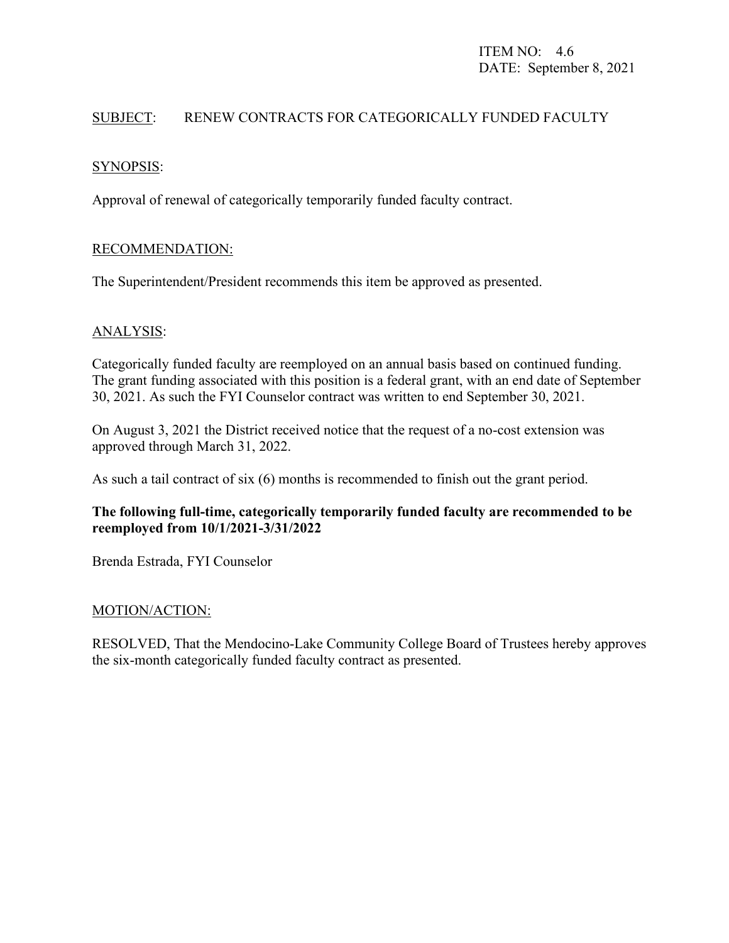## SUBJECT: RENEW CONTRACTS FOR CATEGORICALLY FUNDED FACULTY

## SYNOPSIS:

Approval of renewal of categorically temporarily funded faculty contract.

### RECOMMENDATION:

The Superintendent/President recommends this item be approved as presented.

#### ANALYSIS:

Categorically funded faculty are reemployed on an annual basis based on continued funding. The grant funding associated with this position is a federal grant, with an end date of September 30, 2021. As such the FYI Counselor contract was written to end September 30, 2021.

On August 3, 2021 the District received notice that the request of a no-cost extension was approved through March 31, 2022.

As such a tail contract of six (6) months is recommended to finish out the grant period.

### **The following full-time, categorically temporarily funded faculty are recommended to be reemployed from 10/1/2021-3/31/2022**

Brenda Estrada, FYI Counselor

#### MOTION/ACTION:

RESOLVED, That the Mendocino-Lake Community College Board of Trustees hereby approves the six-month categorically funded faculty contract as presented.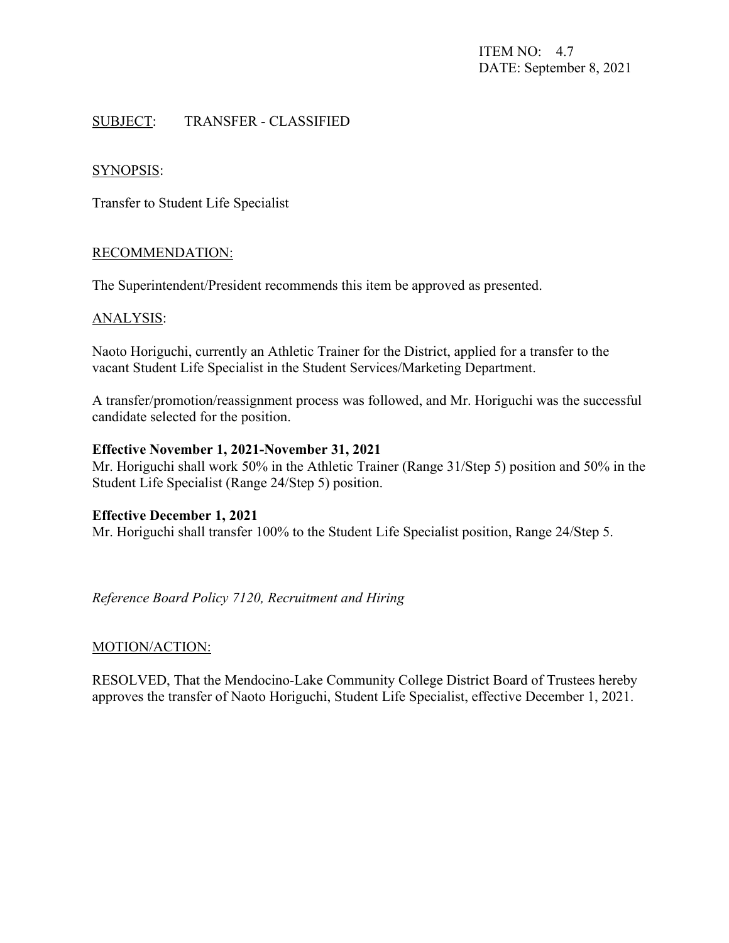ITEM NO: 4.7 DATE: September 8, 2021

#### SUBJECT: TRANSFER - CLASSIFIED

#### SYNOPSIS:

Transfer to Student Life Specialist

#### RECOMMENDATION:

The Superintendent/President recommends this item be approved as presented.

#### ANALYSIS:

Naoto Horiguchi, currently an Athletic Trainer for the District, applied for a transfer to the vacant Student Life Specialist in the Student Services/Marketing Department.

A transfer/promotion/reassignment process was followed, and Mr. Horiguchi was the successful candidate selected for the position.

#### **Effective November 1, 2021-November 31, 2021**

Mr. Horiguchi shall work 50% in the Athletic Trainer (Range 31/Step 5) position and 50% in the Student Life Specialist (Range 24/Step 5) position.

#### **Effective December 1, 2021**

Mr. Horiguchi shall transfer 100% to the Student Life Specialist position, Range 24/Step 5.

*Reference Board Policy 7120, Recruitment and Hiring*

#### MOTION/ACTION:

RESOLVED, That the Mendocino-Lake Community College District Board of Trustees hereby approves the transfer of Naoto Horiguchi, Student Life Specialist, effective December 1, 2021.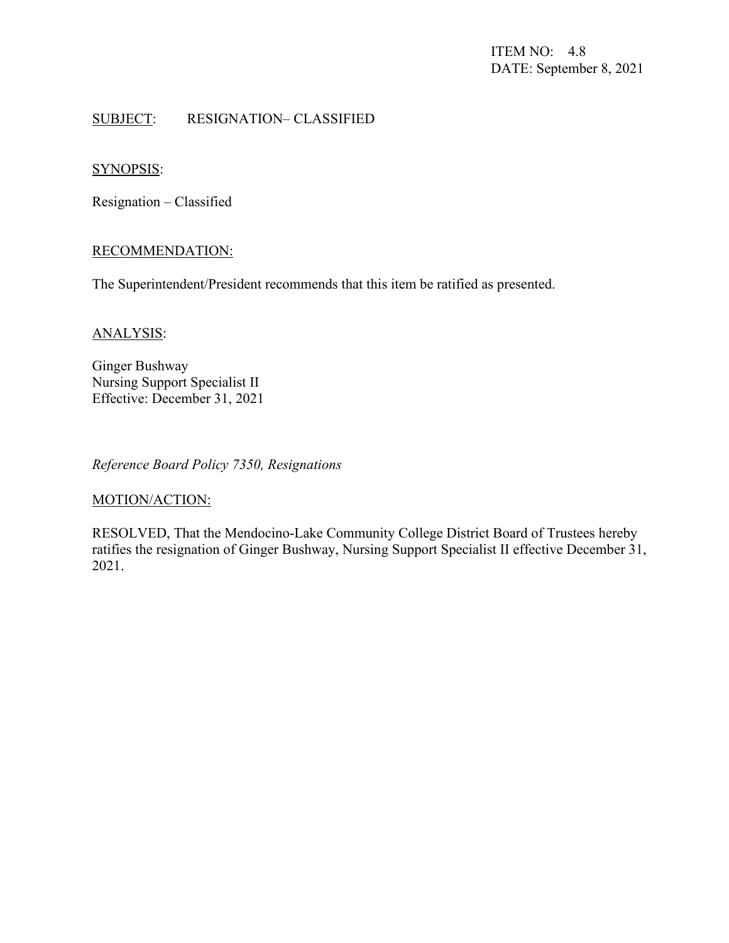ITEM NO: 4.8 DATE: September 8, 2021

### SUBJECT: RESIGNATION– CLASSIFIED

### SYNOPSIS:

Resignation – Classified

#### RECOMMENDATION:

The Superintendent/President recommends that this item be ratified as presented.

#### ANALYSIS:

Ginger Bushway Nursing Support Specialist II Effective: December 31, 2021

*Reference Board Policy 7350, Resignations*

### MOTION/ACTION:

RESOLVED, That the Mendocino-Lake Community College District Board of Trustees hereby ratifies the resignation of Ginger Bushway, Nursing Support Specialist II effective December 31, 2021.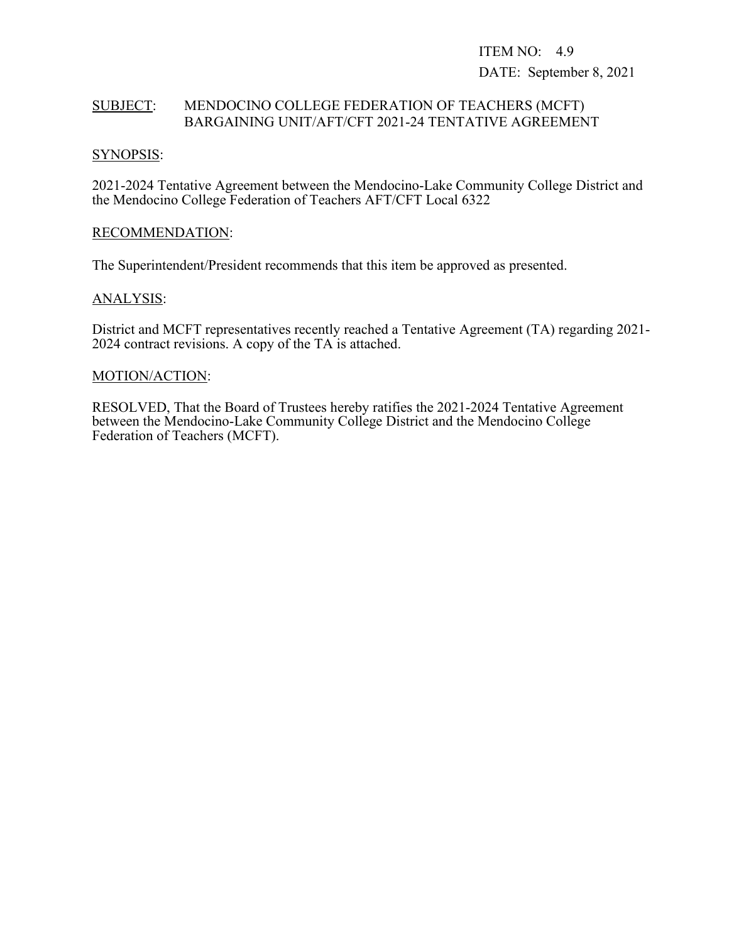ITEM NO: 4.9 DATE: September 8, 2021

#### SUBJECT: MENDOCINO COLLEGE FEDERATION OF TEACHERS (MCFT) BARGAINING UNIT/AFT/CFT 2021-24 TENTATIVE AGREEMENT

#### SYNOPSIS:

2021-2024 Tentative Agreement between the Mendocino-Lake Community College District and the Mendocino College Federation of Teachers AFT/CFT Local 6322

#### RECOMMENDATION:

The Superintendent/President recommends that this item be approved as presented.

#### ANALYSIS:

District and MCFT representatives recently reached a Tentative Agreement (TA) regarding 2021- 2024 contract revisions. A copy of the TA is attached.

### MOTION/ACTION:

RESOLVED, That the Board of Trustees hereby ratifies the 2021-2024 Tentative Agreement between the Mendocino-Lake Community College District and the Mendocino College Federation of Teachers (MCFT).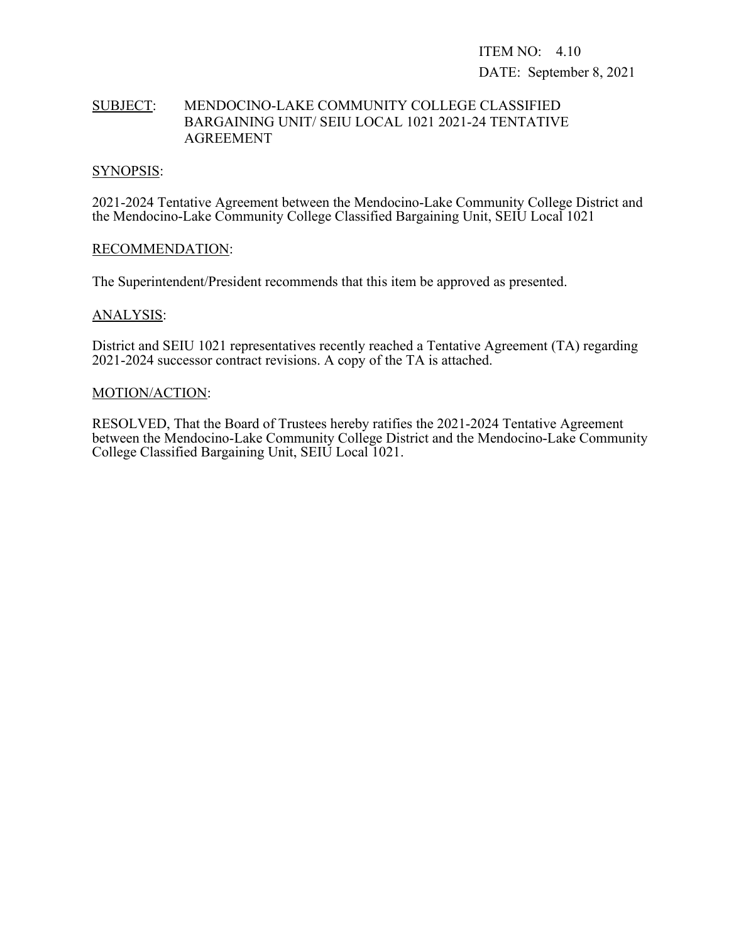ITEM NO: 4.10 DATE: September 8, 2021

#### SUBJECT: MENDOCINO-LAKE COMMUNITY COLLEGE CLASSIFIED BARGAINING UNIT/ SEIU LOCAL 1021 2021-24 TENTATIVE AGREEMENT

#### SYNOPSIS:

2021-2024 Tentative Agreement between the Mendocino-Lake Community College District and the Mendocino-Lake Community College Classified Bargaining Unit, SEIU Local 1021

#### RECOMMENDATION:

The Superintendent/President recommends that this item be approved as presented.

#### ANALYSIS:

District and SEIU 1021 representatives recently reached a Tentative Agreement (TA) regarding 2021-2024 successor contract revisions. A copy of the TA is attached.

#### MOTION/ACTION:

RESOLVED, That the Board of Trustees hereby ratifies the 2021-2024 Tentative Agreement between the Mendocino-Lake Community College District and the Mendocino-Lake Community College Classified Bargaining Unit, SEIU Local 1021.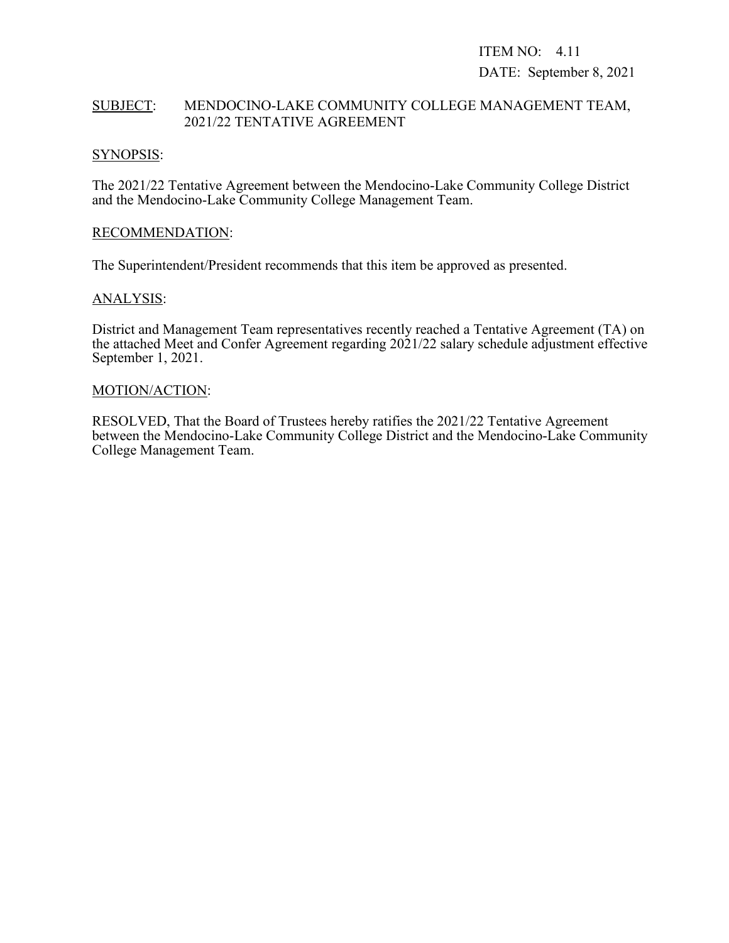# ITEM NO: 4.11 DATE: September 8, 2021

### SUBJECT: MENDOCINO-LAKE COMMUNITY COLLEGE MANAGEMENT TEAM, 2021/22 TENTATIVE AGREEMENT

#### SYNOPSIS:

The 2021/22 Tentative Agreement between the Mendocino-Lake Community College District and the Mendocino-Lake Community College Management Team.

#### RECOMMENDATION:

The Superintendent/President recommends that this item be approved as presented.

### ANALYSIS:

District and Management Team representatives recently reached a Tentative Agreement (TA) on the attached Meet and Confer Agreement regarding 2021/22 salary schedule adjustment effective September 1, 2021.

#### MOTION/ACTION:

RESOLVED, That the Board of Trustees hereby ratifies the 2021/22 Tentative Agreement between the Mendocino-Lake Community College District and the Mendocino-Lake Community College Management Team.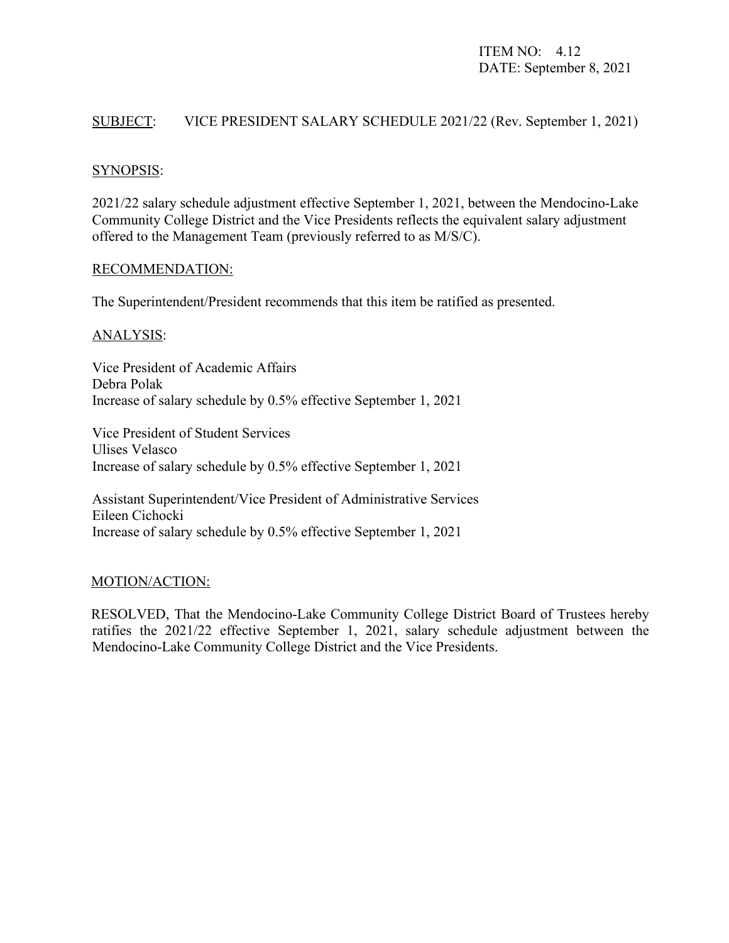ITEM NO: 4.12 DATE: September 8, 2021

#### SUBJECT: VICE PRESIDENT SALARY SCHEDULE 2021/22 (Rev. September 1, 2021)

#### SYNOPSIS:

2021/22 salary schedule adjustment effective September 1, 2021, between the Mendocino-Lake Community College District and the Vice Presidents reflects the equivalent salary adjustment offered to the Management Team (previously referred to as M/S/C).

#### RECOMMENDATION:

The Superintendent/President recommends that this item be ratified as presented.

#### ANALYSIS:

Vice President of Academic Affairs Debra Polak Increase of salary schedule by 0.5% effective September 1, 2021

Vice President of Student Services Ulises Velasco Increase of salary schedule by 0.5% effective September 1, 2021

Assistant Superintendent/Vice President of Administrative Services Eileen Cichocki Increase of salary schedule by 0.5% effective September 1, 2021

#### MOTION/ACTION:

RESOLVED, That the Mendocino-Lake Community College District Board of Trustees hereby ratifies the 2021/22 effective September 1, 2021, salary schedule adjustment between the Mendocino-Lake Community College District and the Vice Presidents.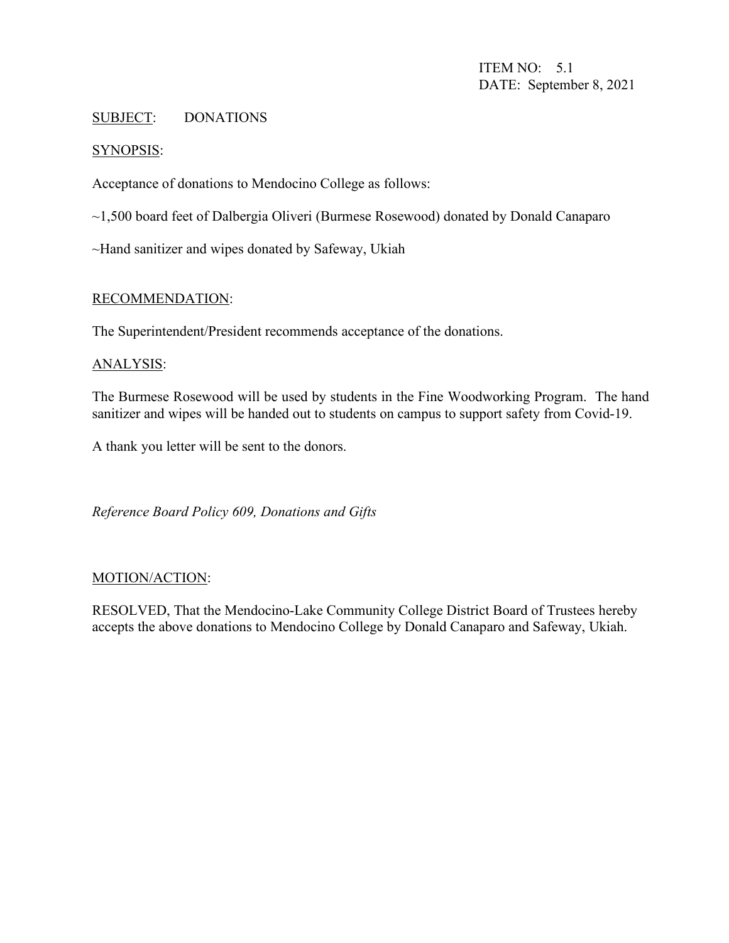ITEM NO: 5.1 DATE: September 8, 2021

#### SUBJECT: DONATIONS

#### SYNOPSIS:

Acceptance of donations to Mendocino College as follows:

~1,500 board feet of Dalbergia Oliveri (Burmese Rosewood) donated by Donald Canaparo

~Hand sanitizer and wipes donated by Safeway, Ukiah

#### RECOMMENDATION:

The Superintendent/President recommends acceptance of the donations.

#### ANALYSIS:

The Burmese Rosewood will be used by students in the Fine Woodworking Program. The hand sanitizer and wipes will be handed out to students on campus to support safety from Covid-19.

A thank you letter will be sent to the donors.

*Reference Board Policy 609, Donations and Gifts*

#### MOTION/ACTION:

RESOLVED, That the Mendocino-Lake Community College District Board of Trustees hereby accepts the above donations to Mendocino College by Donald Canaparo and Safeway, Ukiah.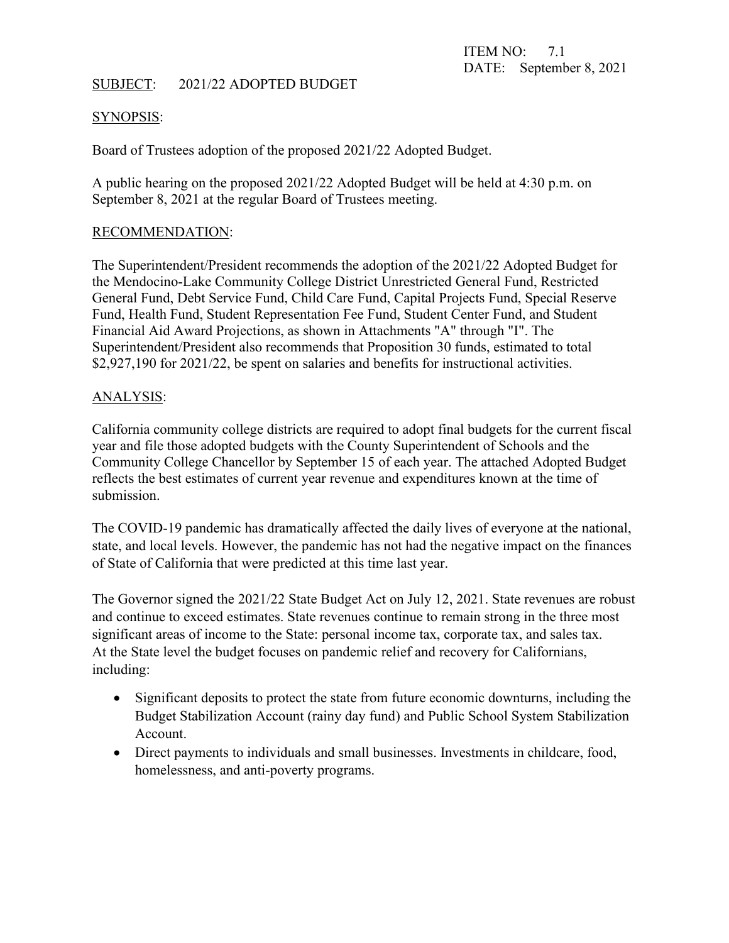### SUBJECT: 2021/22 ADOPTED BUDGET

#### SYNOPSIS:

Board of Trustees adoption of the proposed 2021/22 Adopted Budget.

A public hearing on the proposed 2021/22 Adopted Budget will be held at 4:30 p.m. on September 8, 2021 at the regular Board of Trustees meeting.

#### RECOMMENDATION:

The Superintendent/President recommends the adoption of the 2021/22 Adopted Budget for the Mendocino-Lake Community College District Unrestricted General Fund, Restricted General Fund, Debt Service Fund, Child Care Fund, Capital Projects Fund, Special Reserve Fund, Health Fund, Student Representation Fee Fund, Student Center Fund, and Student Financial Aid Award Projections, as shown in Attachments "A" through "I". The Superintendent/President also recommends that Proposition 30 funds, estimated to total \$2,927,190 for 2021/22, be spent on salaries and benefits for instructional activities.

### ANALYSIS:

California community college districts are required to adopt final budgets for the current fiscal year and file those adopted budgets with the County Superintendent of Schools and the Community College Chancellor by September 15 of each year. The attached Adopted Budget reflects the best estimates of current year revenue and expenditures known at the time of submission.

The COVID-19 pandemic has dramatically affected the daily lives of everyone at the national, state, and local levels. However, the pandemic has not had the negative impact on the finances of State of California that were predicted at this time last year.

The Governor signed the 2021/22 State Budget Act on July 12, 2021. State revenues are robust and continue to exceed estimates. State revenues continue to remain strong in the three most significant areas of income to the State: personal income tax, corporate tax, and sales tax. At the State level the budget focuses on pandemic relief and recovery for Californians, including:

- Significant deposits to protect the state from future economic downturns, including the Budget Stabilization Account (rainy day fund) and Public School System Stabilization Account.
- Direct payments to individuals and small businesses. Investments in childcare, food, homelessness, and anti-poverty programs.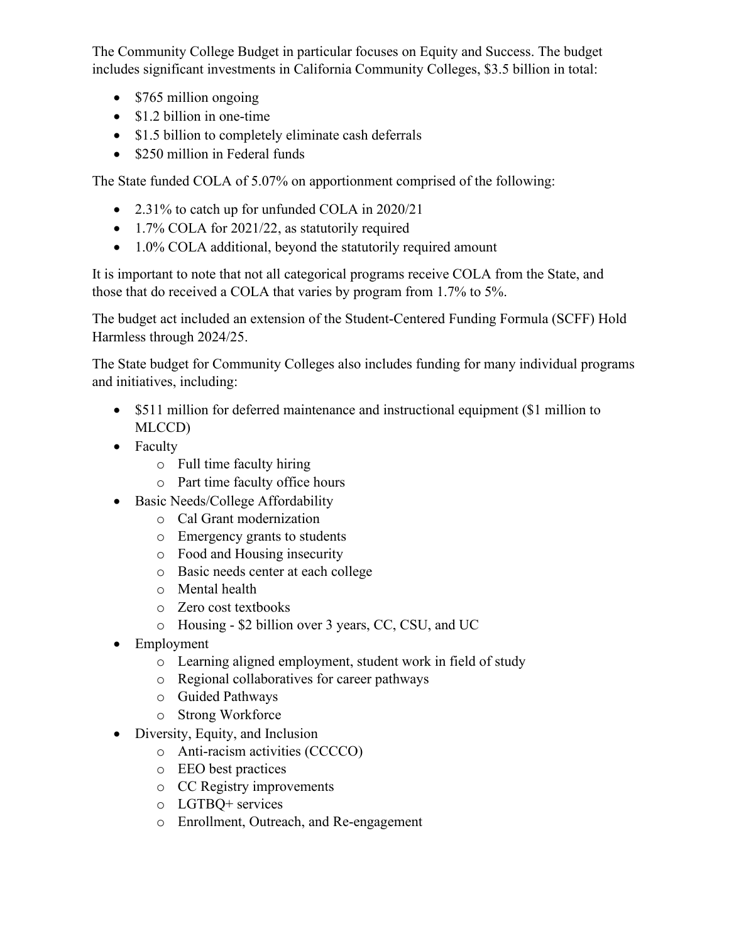The Community College Budget in particular focuses on Equity and Success. The budget includes significant investments in California Community Colleges, \$3.5 billion in total:

- \$765 million ongoing
- \$1.2 billion in one-time
- \$1.5 billion to completely eliminate cash deferrals
- \$250 million in Federal funds

The State funded COLA of 5.07% on apportionment comprised of the following:

- 2.31% to catch up for unfunded COLA in 2020/21
- 1.7% COLA for 2021/22, as statutorily required
- 1.0% COLA additional, beyond the statutorily required amount

It is important to note that not all categorical programs receive COLA from the State, and those that do received a COLA that varies by program from 1.7% to 5%.

The budget act included an extension of the Student-Centered Funding Formula (SCFF) Hold Harmless through 2024/25.

The State budget for Community Colleges also includes funding for many individual programs and initiatives, including:

- \$511 million for deferred maintenance and instructional equipment (\$1 million to MLCCD)
- Faculty
	- o Full time faculty hiring
	- o Part time faculty office hours
- Basic Needs/College Affordability
	- o Cal Grant modernization
	- o Emergency grants to students
	- o Food and Housing insecurity
	- o Basic needs center at each college
	- o Mental health
	- o Zero cost textbooks
	- o Housing \$2 billion over 3 years, CC, CSU, and UC
- Employment
	- o Learning aligned employment, student work in field of study
	- o Regional collaboratives for career pathways
	- o Guided Pathways
	- o Strong Workforce
- Diversity, Equity, and Inclusion
	- o Anti-racism activities (CCCCO)
	- o EEO best practices
	- o CC Registry improvements
	- o LGTBQ+ services
	- o Enrollment, Outreach, and Re-engagement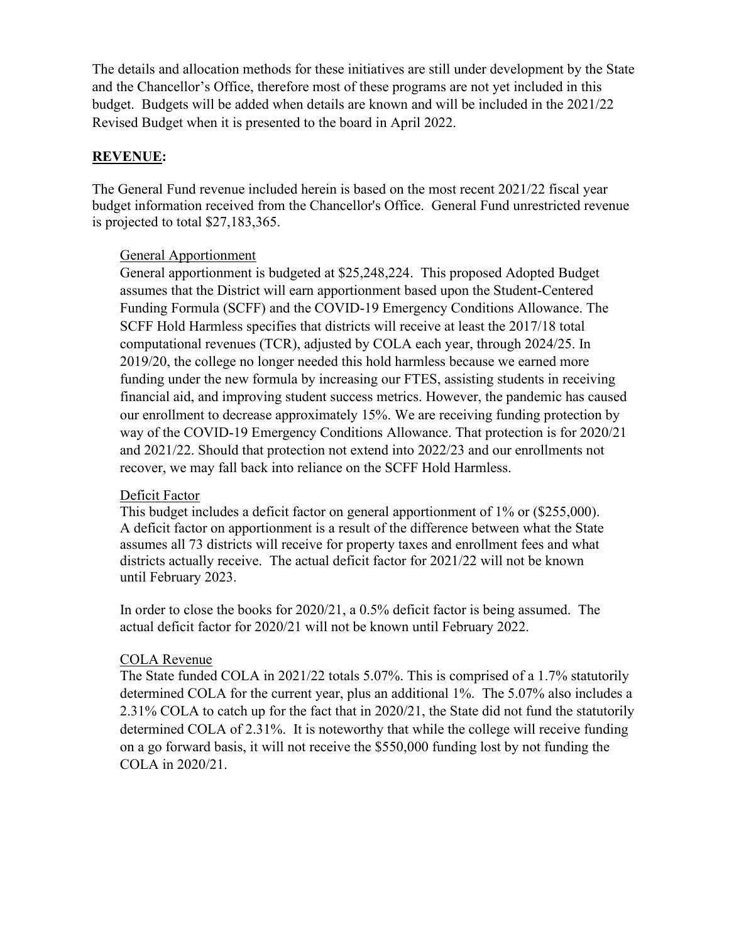The details and allocation methods for these initiatives are still under development by the State and the Chancellor's Office, therefore most of these programs are not yet included in this budget. Budgets will be added when details are known and will be included in the 2021/22 Revised Budget when it is presented to the board in April 2022.

## **REVENUE:**

The General Fund revenue included herein is based on the most recent 2021/22 fiscal year budget information received from the Chancellor's Office. General Fund unrestricted revenue is projected to total \$27,183,365.

## General Apportionment

General apportionment is budgeted at \$25,248,224. This proposed Adopted Budget assumes that the District will earn apportionment based upon the Student-Centered Funding Formula (SCFF) and the COVID-19 Emergency Conditions Allowance. The SCFF Hold Harmless specifies that districts will receive at least the 2017/18 total computational revenues (TCR), adjusted by COLA each year, through 2024/25. In 2019/20, the college no longer needed this hold harmless because we earned more funding under the new formula by increasing our FTES, assisting students in receiving financial aid, and improving student success metrics. However, the pandemic has caused our enrollment to decrease approximately 15%. We are receiving funding protection by way of the COVID-19 Emergency Conditions Allowance. That protection is for 2020/21 and 2021/22. Should that protection not extend into 2022/23 and our enrollments not recover, we may fall back into reliance on the SCFF Hold Harmless.

## Deficit Factor

This budget includes a deficit factor on general apportionment of 1% or (\$255,000). A deficit factor on apportionment is a result of the difference between what the State assumes all 73 districts will receive for property taxes and enrollment fees and what districts actually receive. The actual deficit factor for 2021/22 will not be known until February 2023.

In order to close the books for 2020/21, a 0.5% deficit factor is being assumed. The actual deficit factor for 2020/21 will not be known until February 2022.

# COLA Revenue

The State funded COLA in 2021/22 totals 5.07%. This is comprised of a 1.7% statutorily determined COLA for the current year, plus an additional 1%. The 5.07% also includes a 2.31% COLA to catch up for the fact that in 2020/21, the State did not fund the statutorily determined COLA of 2.31%. It is noteworthy that while the college will receive funding on a go forward basis, it will not receive the \$550,000 funding lost by not funding the COLA in 2020/21.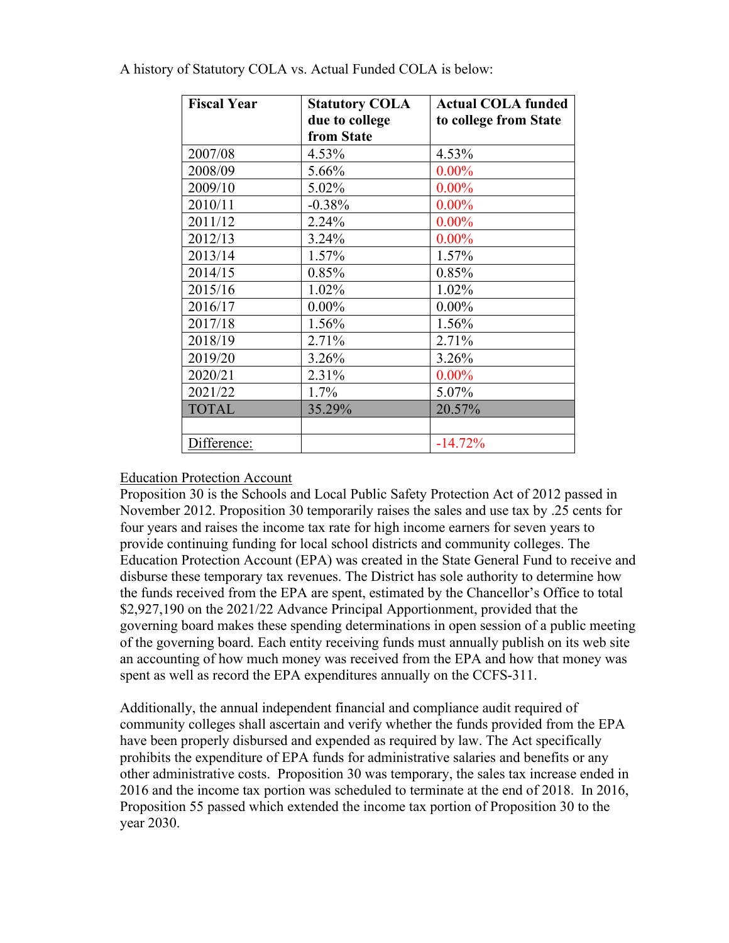| <b>Fiscal Year</b> | <b>Statutory COLA</b> | <b>Actual COLA funded</b> |
|--------------------|-----------------------|---------------------------|
|                    | due to college        | to college from State     |
|                    | from State            |                           |
| 2007/08            | 4.53%                 | 4.53%                     |
| 2008/09            | 5.66%                 | $0.00\%$                  |
| 2009/10            | 5.02%                 | $0.00\%$                  |
| 2010/11            | $-0.38%$              | $0.00\%$                  |
| 2011/12            | 2.24%                 | $0.00\%$                  |
| 2012/13            | 3.24%                 | $0.00\%$                  |
| 2013/14            | 1.57%                 | 1.57%                     |
| 2014/15            | 0.85%                 | 0.85%                     |
| 2015/16            | 1.02%                 | 1.02%                     |
| 2016/17            | $0.00\%$              | $0.00\%$                  |
| 2017/18            | 1.56%                 | 1.56%                     |
| 2018/19            | 2.71%                 | 2.71%                     |
| 2019/20            | 3.26%                 | 3.26%                     |
| 2020/21            | 2.31%                 | $0.00\%$                  |
| 2021/22            | 1.7%                  | 5.07%                     |
| <b>TOTAL</b>       | 35.29%                | 20.57%                    |
|                    |                       |                           |
| Difference:        |                       | $-14.72%$                 |

A history of Statutory COLA vs. Actual Funded COLA is below:

#### Education Protection Account

Proposition 30 is the Schools and Local Public Safety Protection Act of 2012 passed in November 2012. Proposition 30 temporarily raises the sales and use tax by .25 cents for four years and raises the income tax rate for high income earners for seven years to provide continuing funding for local school districts and community colleges. The Education Protection Account (EPA) was created in the State General Fund to receive and disburse these temporary tax revenues. The District has sole authority to determine how the funds received from the EPA are spent, estimated by the Chancellor's Office to total \$2,927,190 on the 2021/22 Advance Principal Apportionment, provided that the governing board makes these spending determinations in open session of a public meeting of the governing board. Each entity receiving funds must annually publish on its web site an accounting of how much money was received from the EPA and how that money was spent as well as record the EPA expenditures annually on the CCFS-311.

Additionally, the annual independent financial and compliance audit required of community colleges shall ascertain and verify whether the funds provided from the EPA have been properly disbursed and expended as required by law. The Act specifically prohibits the expenditure of EPA funds for administrative salaries and benefits or any other administrative costs. Proposition 30 was temporary, the sales tax increase ended in 2016 and the income tax portion was scheduled to terminate at the end of 2018. In 2016, Proposition 55 passed which extended the income tax portion of Proposition 30 to the year 2030.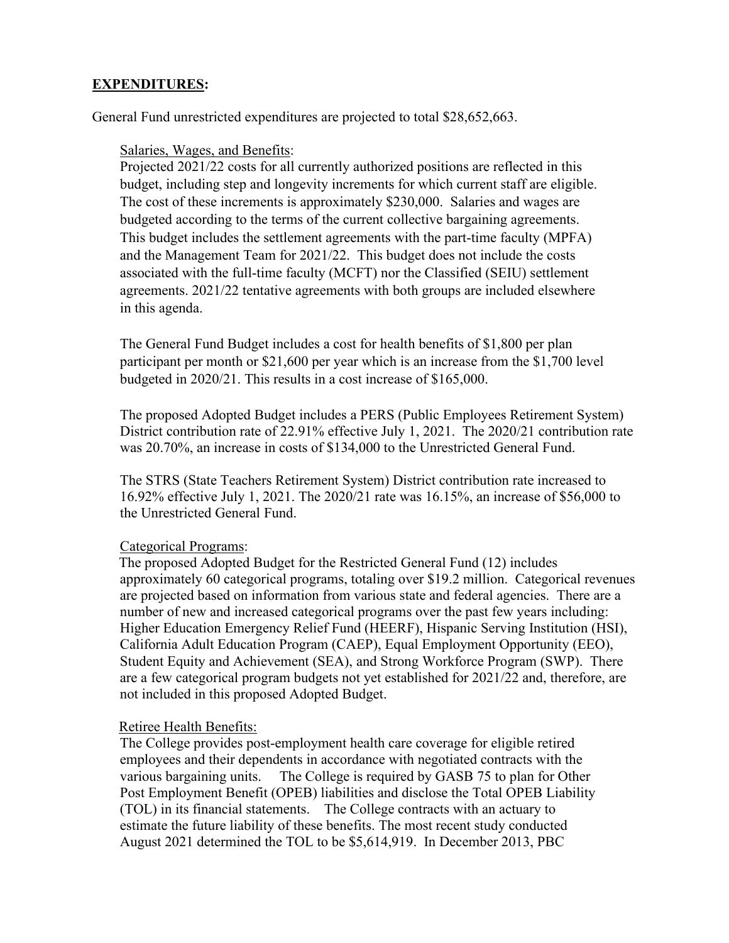## **EXPENDITURES:**

General Fund unrestricted expenditures are projected to total \$28,652,663.

Salaries, Wages, and Benefits:

Projected 2021/22 costs for all currently authorized positions are reflected in this budget, including step and longevity increments for which current staff are eligible. The cost of these increments is approximately \$230,000. Salaries and wages are budgeted according to the terms of the current collective bargaining agreements. This budget includes the settlement agreements with the part-time faculty (MPFA) and the Management Team for 2021/22. This budget does not include the costs associated with the full-time faculty (MCFT) nor the Classified (SEIU) settlement agreements. 2021/22 tentative agreements with both groups are included elsewhere in this agenda.

The General Fund Budget includes a cost for health benefits of \$1,800 per plan participant per month or \$21,600 per year which is an increase from the \$1,700 level budgeted in 2020/21. This results in a cost increase of \$165,000.

The proposed Adopted Budget includes a PERS (Public Employees Retirement System) District contribution rate of 22.91% effective July 1, 2021. The 2020/21 contribution rate was 20.70%, an increase in costs of \$134,000 to the Unrestricted General Fund.

The STRS (State Teachers Retirement System) District contribution rate increased to 16.92% effective July 1, 2021. The 2020/21 rate was 16.15%, an increase of \$56,000 to the Unrestricted General Fund.

#### Categorical Programs:

The proposed Adopted Budget for the Restricted General Fund (12) includes approximately 60 categorical programs, totaling over \$19.2 million. Categorical revenues are projected based on information from various state and federal agencies. There are a number of new and increased categorical programs over the past few years including: Higher Education Emergency Relief Fund (HEERF), Hispanic Serving Institution (HSI), California Adult Education Program (CAEP), Equal Employment Opportunity (EEO), Student Equity and Achievement (SEA), and Strong Workforce Program (SWP). There are a few categorical program budgets not yet established for 2021/22 and, therefore, are not included in this proposed Adopted Budget.

#### Retiree Health Benefits:

The College provides post-employment health care coverage for eligible retired employees and their dependents in accordance with negotiated contracts with the various bargaining units. The College is required by GASB 75 to plan for Other Post Employment Benefit (OPEB) liabilities and disclose the Total OPEB Liability (TOL) in its financial statements. The College contracts with an actuary to estimate the future liability of these benefits. The most recent study conducted August 2021 determined the TOL to be \$5,614,919. In December 2013, PBC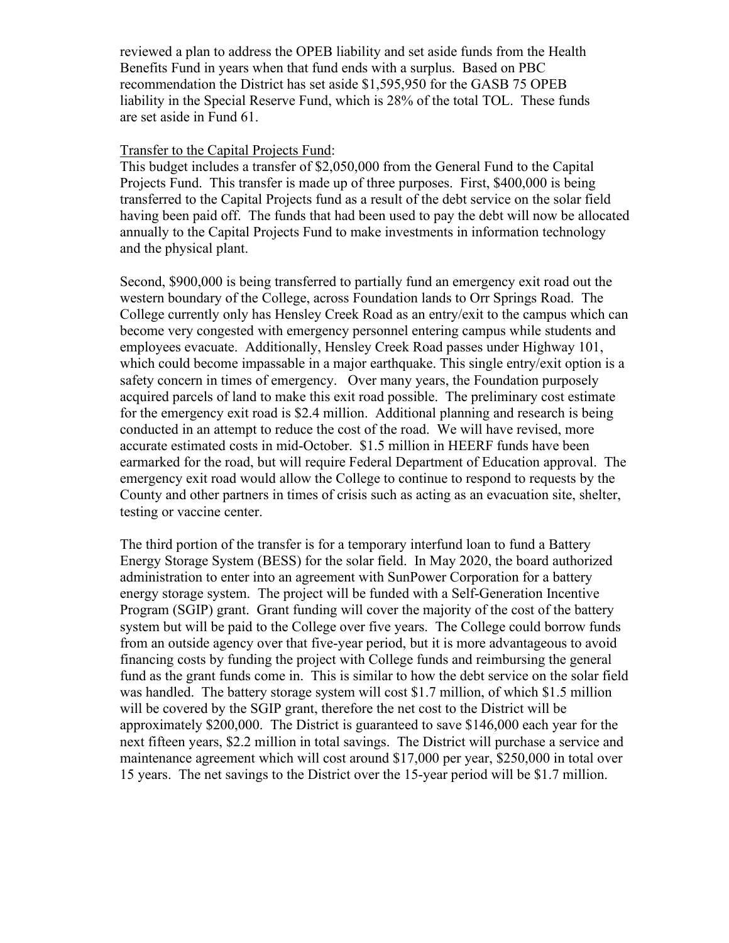reviewed a plan to address the OPEB liability and set aside funds from the Health Benefits Fund in years when that fund ends with a surplus. Based on PBC recommendation the District has set aside \$1,595,950 for the GASB 75 OPEB liability in the Special Reserve Fund, which is 28% of the total TOL. These funds are set aside in Fund 61.

#### Transfer to the Capital Projects Fund:

This budget includes a transfer of \$2,050,000 from the General Fund to the Capital Projects Fund. This transfer is made up of three purposes. First, \$400,000 is being transferred to the Capital Projects fund as a result of the debt service on the solar field having been paid off. The funds that had been used to pay the debt will now be allocated annually to the Capital Projects Fund to make investments in information technology and the physical plant.

Second, \$900,000 is being transferred to partially fund an emergency exit road out the western boundary of the College, across Foundation lands to Orr Springs Road. The College currently only has Hensley Creek Road as an entry/exit to the campus which can become very congested with emergency personnel entering campus while students and employees evacuate. Additionally, Hensley Creek Road passes under Highway 101, which could become impassable in a major earthquake. This single entry/exit option is a safety concern in times of emergency. Over many years, the Foundation purposely acquired parcels of land to make this exit road possible. The preliminary cost estimate for the emergency exit road is \$2.4 million. Additional planning and research is being conducted in an attempt to reduce the cost of the road. We will have revised, more accurate estimated costs in mid-October. \$1.5 million in HEERF funds have been earmarked for the road, but will require Federal Department of Education approval. The emergency exit road would allow the College to continue to respond to requests by the County and other partners in times of crisis such as acting as an evacuation site, shelter, testing or vaccine center.

The third portion of the transfer is for a temporary interfund loan to fund a Battery Energy Storage System (BESS) for the solar field. In May 2020, the board authorized administration to enter into an agreement with SunPower Corporation for a battery energy storage system. The project will be funded with a Self-Generation Incentive Program (SGIP) grant. Grant funding will cover the majority of the cost of the battery system but will be paid to the College over five years. The College could borrow funds from an outside agency over that five-year period, but it is more advantageous to avoid financing costs by funding the project with College funds and reimbursing the general fund as the grant funds come in. This is similar to how the debt service on the solar field was handled. The battery storage system will cost \$1.7 million, of which \$1.5 million will be covered by the SGIP grant, therefore the net cost to the District will be approximately \$200,000. The District is guaranteed to save \$146,000 each year for the next fifteen years, \$2.2 million in total savings. The District will purchase a service and maintenance agreement which will cost around \$17,000 per year, \$250,000 in total over 15 years. The net savings to the District over the 15-year period will be \$1.7 million.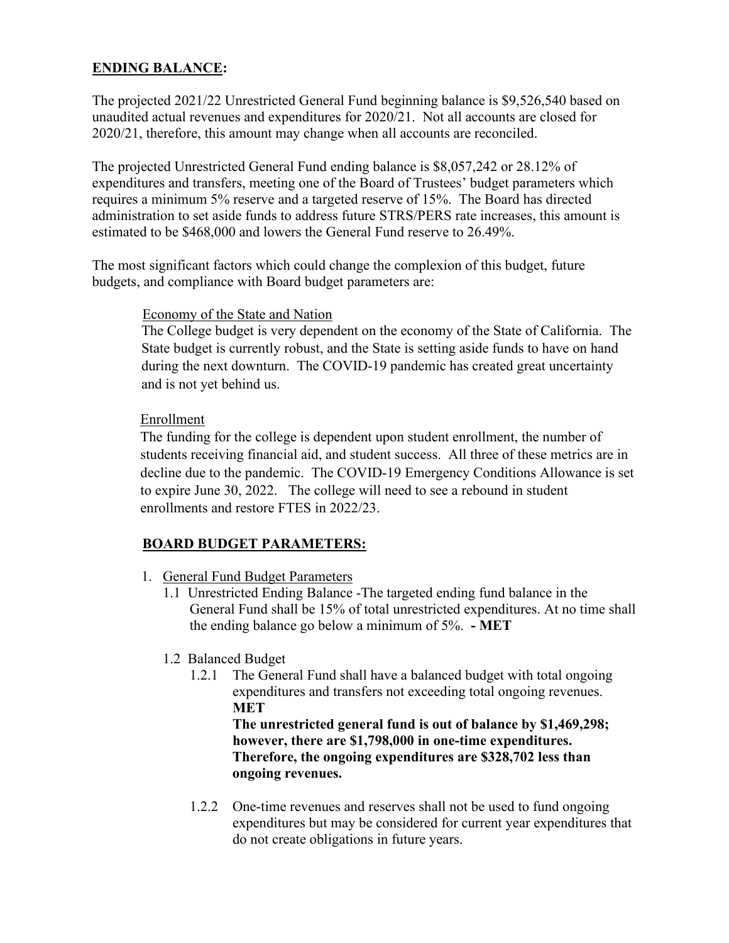# **ENDING BALANCE:**

The projected 2021/22 Unrestricted General Fund beginning balance is \$9,526,540 based on unaudited actual revenues and expenditures for 2020/21. Not all accounts are closed for 2020/21, therefore, this amount may change when all accounts are reconciled.

The projected Unrestricted General Fund ending balance is \$8,057,242 or 28.12% of expenditures and transfers, meeting one of the Board of Trustees' budget parameters which requires a minimum 5% reserve and a targeted reserve of 15%. The Board has directed administration to set aside funds to address future STRS/PERS rate increases, this amount is estimated to be \$468,000 and lowers the General Fund reserve to 26.49%.

The most significant factors which could change the complexion of this budget, future budgets, and compliance with Board budget parameters are:

#### Economy of the State and Nation

The College budget is very dependent on the economy of the State of California. The State budget is currently robust, and the State is setting aside funds to have on hand during the next downturn. The COVID-19 pandemic has created great uncertainty and is not yet behind us.

### Enrollment

The funding for the college is dependent upon student enrollment, the number of students receiving financial aid, and student success. All three of these metrics are in decline due to the pandemic. The COVID-19 Emergency Conditions Allowance is set to expire June 30, 2022. The college will need to see a rebound in student enrollments and restore FTES in 2022/23.

## **BOARD BUDGET PARAMETERS:**

- 1. General Fund Budget Parameters
	- 1.1 Unrestricted Ending Balance -The targeted ending fund balance in the General Fund shall be 15% of total unrestricted expenditures. At no time shall the ending balance go below a minimum of 5%. **- MET**
	- 1.2 Balanced Budget
		- 1.2.1 The General Fund shall have a balanced budget with total ongoing expenditures and transfers not exceeding total ongoing revenues. **MET**

**The unrestricted general fund is out of balance by \$1,469,298; however, there are \$1,798,000 in one-time expenditures. Therefore, the ongoing expenditures are \$328,702 less than ongoing revenues.**

1.2.2 One-time revenues and reserves shall not be used to fund ongoing expenditures but may be considered for current year expenditures that do not create obligations in future years.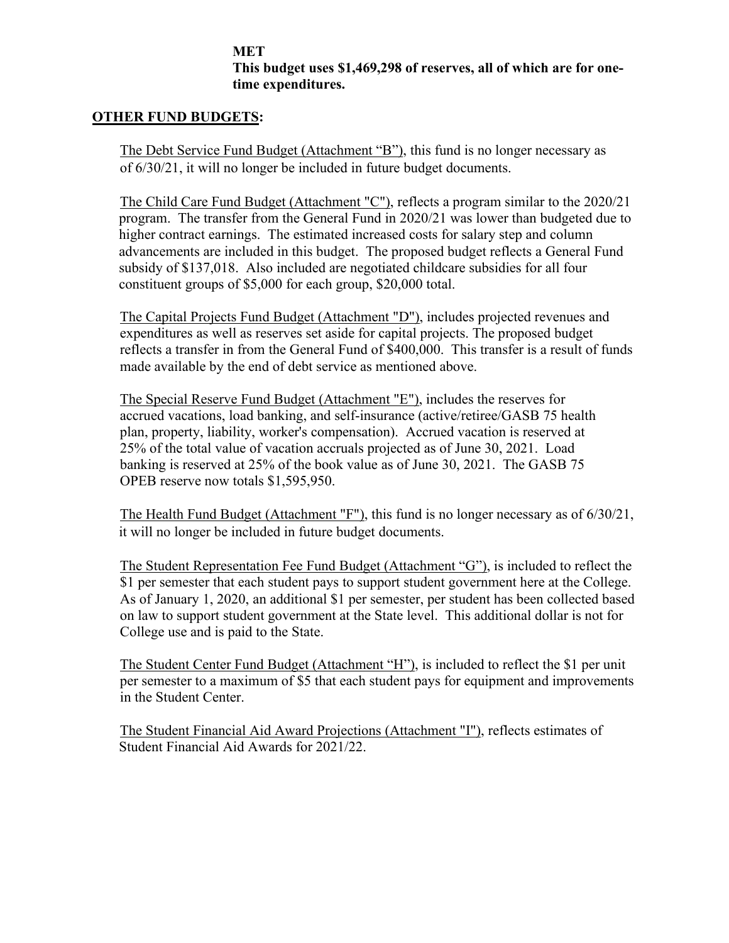#### **MET This budget uses \$1,469,298 of reserves, all of which are for onetime expenditures.**

#### **OTHER FUND BUDGETS:**

The Debt Service Fund Budget (Attachment "B"), this fund is no longer necessary as of 6/30/21, it will no longer be included in future budget documents.

The Child Care Fund Budget (Attachment "C"), reflects a program similar to the 2020/21 program. The transfer from the General Fund in 2020/21 was lower than budgeted due to higher contract earnings. The estimated increased costs for salary step and column advancements are included in this budget. The proposed budget reflects a General Fund subsidy of \$137,018. Also included are negotiated childcare subsidies for all four constituent groups of \$5,000 for each group, \$20,000 total.

The Capital Projects Fund Budget (Attachment "D"), includes projected revenues and expenditures as well as reserves set aside for capital projects. The proposed budget reflects a transfer in from the General Fund of \$400,000. This transfer is a result of funds made available by the end of debt service as mentioned above.

The Special Reserve Fund Budget (Attachment "E"), includes the reserves for accrued vacations, load banking, and self-insurance (active/retiree/GASB 75 health plan, property, liability, worker's compensation). Accrued vacation is reserved at 25% of the total value of vacation accruals projected as of June 30, 2021. Load banking is reserved at 25% of the book value as of June 30, 2021. The GASB 75 OPEB reserve now totals \$1,595,950.

The Health Fund Budget (Attachment "F"), this fund is no longer necessary as of 6/30/21, it will no longer be included in future budget documents.

The Student Representation Fee Fund Budget (Attachment "G"), is included to reflect the \$1 per semester that each student pays to support student government here at the College. As of January 1, 2020, an additional \$1 per semester, per student has been collected based on law to support student government at the State level. This additional dollar is not for College use and is paid to the State.

The Student Center Fund Budget (Attachment "H"), is included to reflect the \$1 per unit per semester to a maximum of \$5 that each student pays for equipment and improvements in the Student Center.

The Student Financial Aid Award Projections (Attachment "I"), reflects estimates of Student Financial Aid Awards for 2021/22.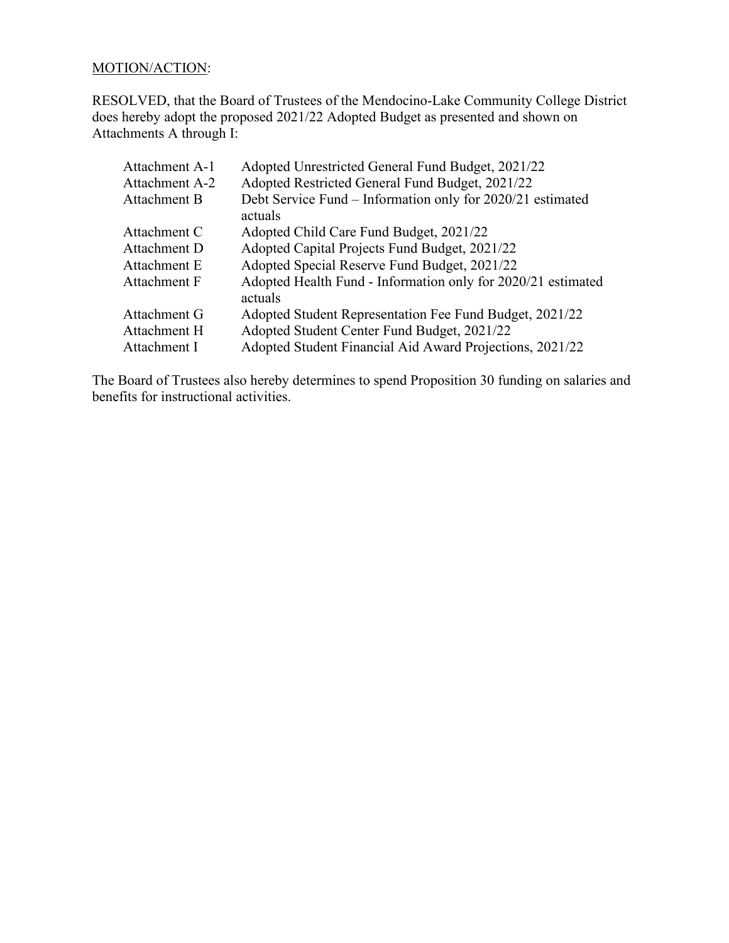## MOTION/ACTION:

RESOLVED, that the Board of Trustees of the Mendocino-Lake Community College District does hereby adopt the proposed 2021/22 Adopted Budget as presented and shown on Attachments A through I:

| Adopted Unrestricted General Fund Budget, 2021/22                       |
|-------------------------------------------------------------------------|
| Adopted Restricted General Fund Budget, 2021/22                         |
| Debt Service Fund – Information only for 2020/21 estimated<br>actuals   |
| Adopted Child Care Fund Budget, 2021/22                                 |
| Adopted Capital Projects Fund Budget, 2021/22                           |
| Adopted Special Reserve Fund Budget, 2021/22                            |
| Adopted Health Fund - Information only for 2020/21 estimated<br>actuals |
| Adopted Student Representation Fee Fund Budget, 2021/22                 |
| Adopted Student Center Fund Budget, 2021/22                             |
| Adopted Student Financial Aid Award Projections, 2021/22                |
|                                                                         |

The Board of Trustees also hereby determines to spend Proposition 30 funding on salaries and benefits for instructional activities.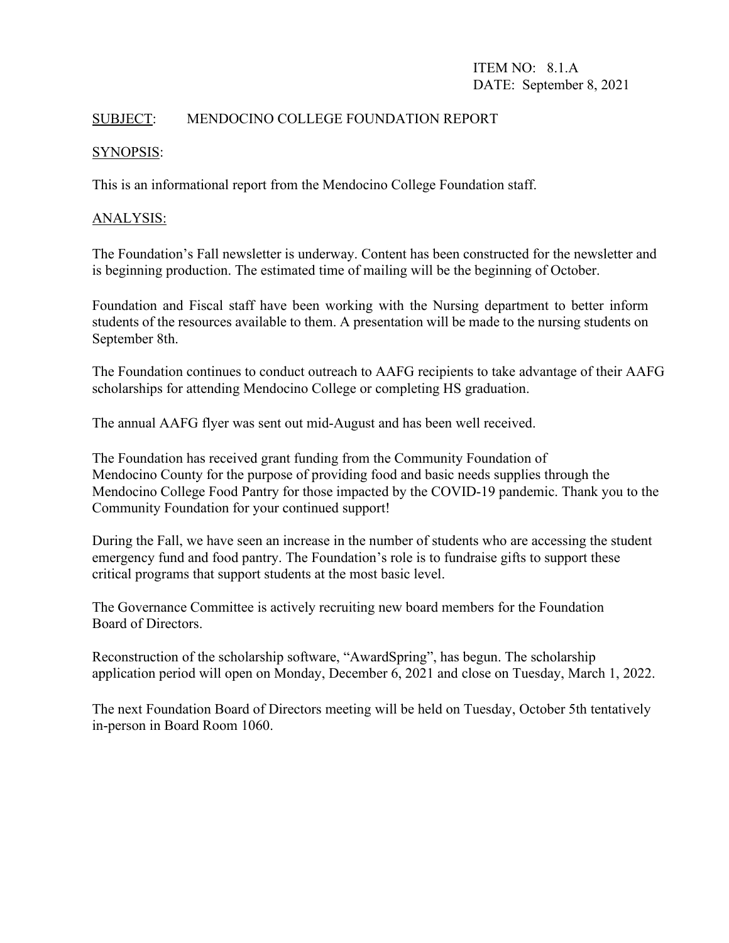## SUBJECT: MENDOCINO COLLEGE FOUNDATION REPORT

#### SYNOPSIS:

This is an informational report from the Mendocino College Foundation staff.

#### ANALYSIS:

The Foundation's Fall newsletter is underway. Content has been constructed for the newsletter and is beginning production. The estimated time of mailing will be the beginning of October.

Foundation and Fiscal staff have been working with the Nursing department to better inform students of the resources available to them. A presentation will be made to the nursing students on September 8th.

The Foundation continues to conduct outreach to AAFG recipients to take advantage of their AAFG scholarships for attending Mendocino College or completing HS graduation.

The annual AAFG flyer was sent out mid-August and has been well received.

The Foundation has received grant funding from the Community Foundation of Mendocino County for the purpose of providing food and basic needs supplies through the Mendocino College Food Pantry for those impacted by the COVID-19 pandemic. Thank you to the Community Foundation for your continued support!

During the Fall, we have seen an increase in the number of students who are accessing the student emergency fund and food pantry. The Foundation's role is to fundraise gifts to support these critical programs that support students at the most basic level.

The Governance Committee is actively recruiting new board members for the Foundation Board of Directors.

Reconstruction of the scholarship software, "AwardSpring", has begun. The scholarship application period will open on Monday, December 6, 2021 and close on Tuesday, March 1, 2022.

The next Foundation Board of Directors meeting will be held on Tuesday, October 5th tentatively in-person in Board Room 1060.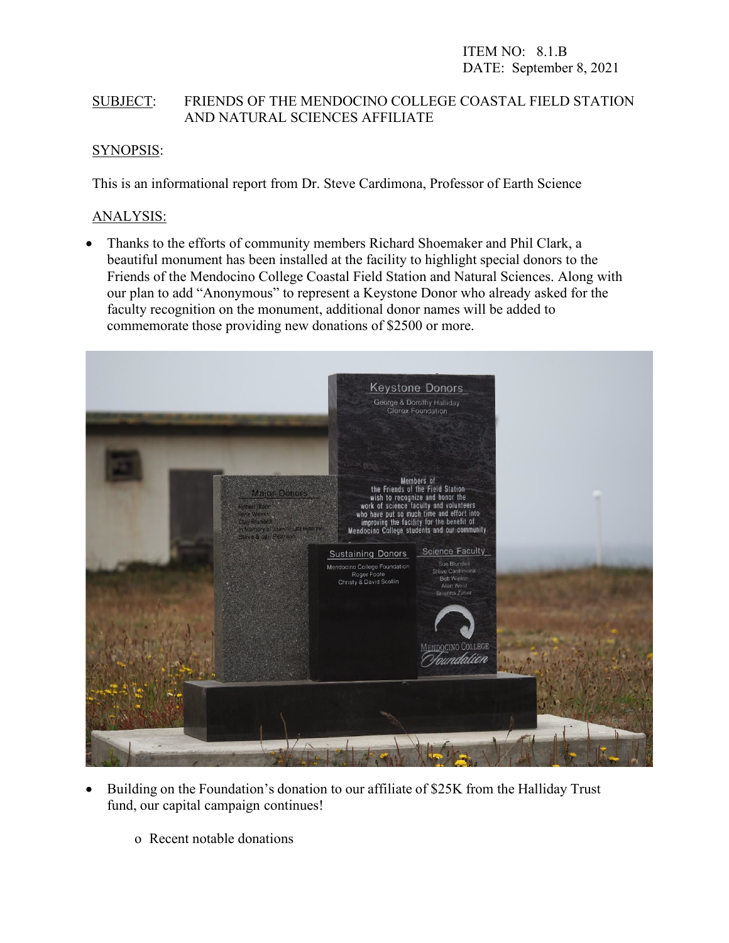## SUBJECT: FRIENDS OF THE MENDOCINO COLLEGE COASTAL FIELD STATION AND NATURAL SCIENCES AFFILIATE

## SYNOPSIS:

This is an informational report from Dr. Steve Cardimona, Professor of Earth Science

### ANALYSIS:

• Thanks to the efforts of community members Richard Shoemaker and Phil Clark, a beautiful monument has been installed at the facility to highlight special donors to the Friends of the Mendocino College Coastal Field Station and Natural Sciences. Along with our plan to add "Anonymous" to represent a Keystone Donor who already asked for the faculty recognition on the monument, additional donor names will be added to commemorate those providing new donations of \$2500 or more.



- Building on the Foundation's donation to our affiliate of \$25K from the Halliday Trust fund, our capital campaign continues!
	- o Recent notable donations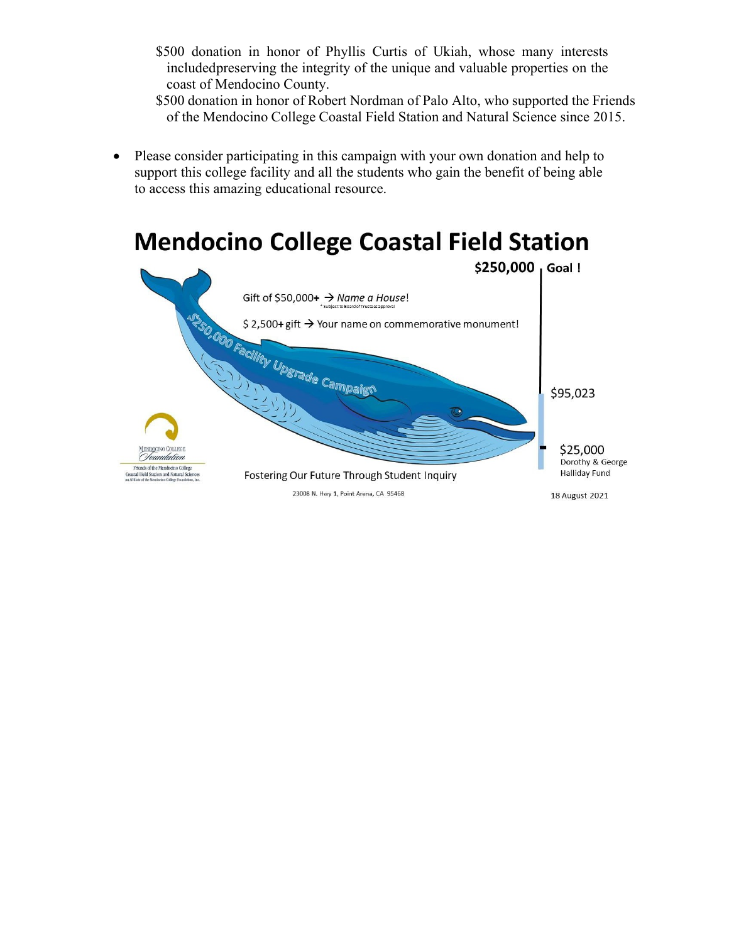- \$500 donation in honor of Phyllis Curtis of Ukiah, whose many interests includedpreserving the integrity of the unique and valuable properties on the coast of Mendocino County.
- \$500 donation in honor of Robert Nordman of Palo Alto, who supported the Friends of the Mendocino College Coastal Field Station and Natural Science since 2015.
- Please consider participating in this campaign with your own donation and help to support this college facility and all the students who gain the benefit of being able to access this amazing educational resource.

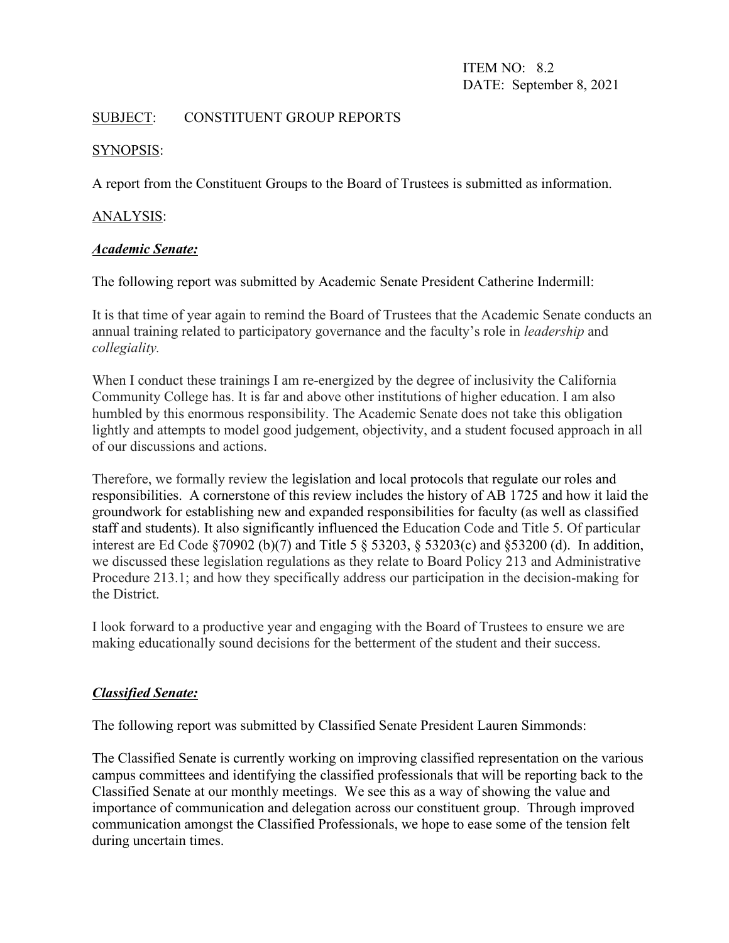ITEM NO: 8.2 DATE: September 8, 2021

### SUBJECT: CONSTITUENT GROUP REPORTS

### SYNOPSIS:

A report from the Constituent Groups to the Board of Trustees is submitted as information.

### ANALYSIS:

### *Academic Senate:*

The following report was submitted by Academic Senate President Catherine Indermill:

It is that time of year again to remind the Board of Trustees that the Academic Senate conducts an annual training related to participatory governance and the faculty's role in *leadership* and *collegiality.* 

When I conduct these trainings I am re-energized by the degree of inclusivity the California Community College has. It is far and above other institutions of higher education. I am also humbled by this enormous responsibility. The Academic Senate does not take this obligation lightly and attempts to model good judgement, objectivity, and a student focused approach in all of our discussions and actions.

Therefore, we formally review the legislation and local protocols that regulate our roles and responsibilities. A cornerstone of this review includes the history of AB 1725 and how it laid the groundwork for establishing new and expanded responsibilities for faculty (as well as classified staff and students). It also significantly influenced the Education Code and Title 5. Of particular interest are Ed Code §70902 (b)(7) and Title 5 § 53203, § 53203(c) and §53200 (d). In addition, we discussed these legislation regulations as they relate to Board Policy 213 and Administrative Procedure 213.1; and how they specifically address our participation in the decision-making for the District.

I look forward to a productive year and engaging with the Board of Trustees to ensure we are making educationally sound decisions for the betterment of the student and their success.

## *Classified Senate:*

The following report was submitted by Classified Senate President Lauren Simmonds:

The Classified Senate is currently working on improving classified representation on the various campus committees and identifying the classified professionals that will be reporting back to the Classified Senate at our monthly meetings. We see this as a way of showing the value and importance of communication and delegation across our constituent group. Through improved communication amongst the Classified Professionals, we hope to ease some of the tension felt during uncertain times.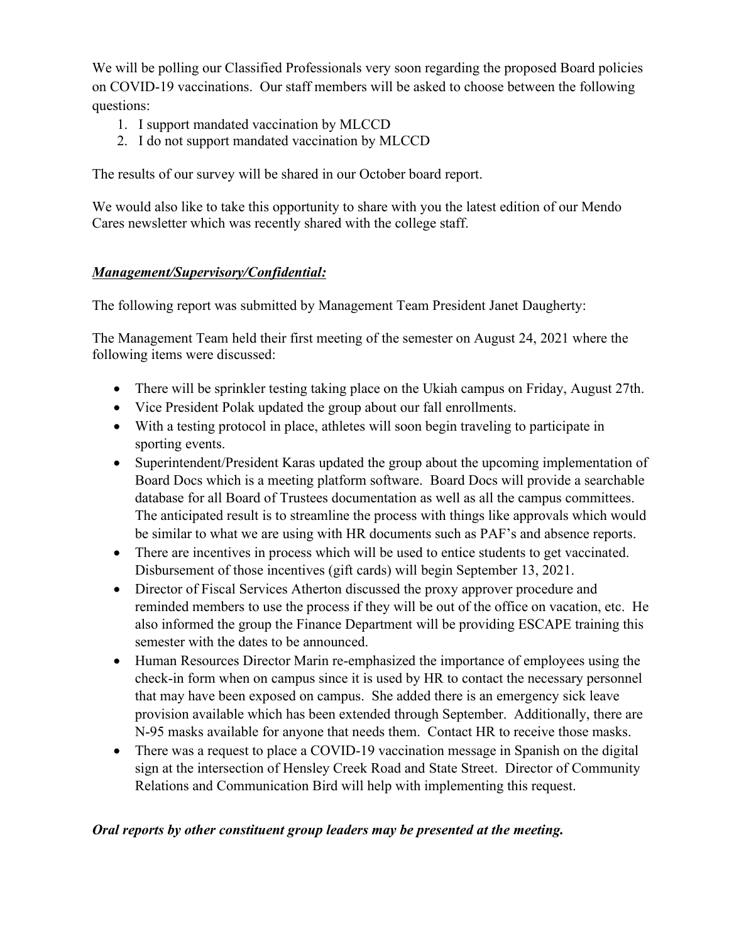We will be polling our Classified Professionals very soon regarding the proposed Board policies on COVID-19 vaccinations. Our staff members will be asked to choose between the following questions:

- 1. I support mandated vaccination by MLCCD
- 2. I do not support mandated vaccination by MLCCD

The results of our survey will be shared in our October board report.

We would also like to take this opportunity to share with you the latest edition of our Mendo Cares newsletter which was recently shared with the college staff.

## *Management/Supervisory/Confidential:*

The following report was submitted by Management Team President Janet Daugherty:

The Management Team held their first meeting of the semester on August 24, 2021 where the following items were discussed:

- There will be sprinkler testing taking place on the Ukiah campus on Friday, August 27th.
- Vice President Polak updated the group about our fall enrollments.
- With a testing protocol in place, athletes will soon begin traveling to participate in sporting events.
- Superintendent/President Karas updated the group about the upcoming implementation of Board Docs which is a meeting platform software. Board Docs will provide a searchable database for all Board of Trustees documentation as well as all the campus committees. The anticipated result is to streamline the process with things like approvals which would be similar to what we are using with HR documents such as PAF's and absence reports.
- There are incentives in process which will be used to entice students to get vaccinated. Disbursement of those incentives (gift cards) will begin September 13, 2021.
- Director of Fiscal Services Atherton discussed the proxy approver procedure and reminded members to use the process if they will be out of the office on vacation, etc. He also informed the group the Finance Department will be providing ESCAPE training this semester with the dates to be announced.
- Human Resources Director Marin re-emphasized the importance of employees using the check-in form when on campus since it is used by HR to contact the necessary personnel that may have been exposed on campus. She added there is an emergency sick leave provision available which has been extended through September. Additionally, there are N-95 masks available for anyone that needs them. Contact HR to receive those masks.
- There was a request to place a COVID-19 vaccination message in Spanish on the digital sign at the intersection of Hensley Creek Road and State Street. Director of Community Relations and Communication Bird will help with implementing this request.

#### *Oral reports by other constituent group leaders may be presented at the meeting.*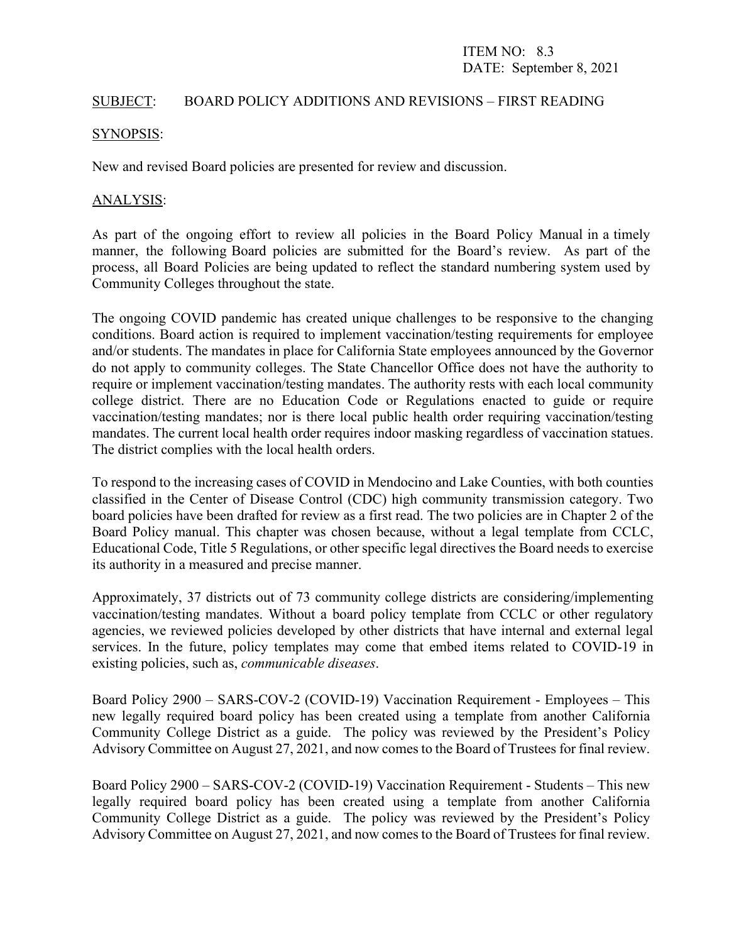#### SUBJECT: BOARD POLICY ADDITIONS AND REVISIONS – FIRST READING

#### SYNOPSIS:

New and revised Board policies are presented for review and discussion.

#### ANALYSIS:

As part of the ongoing effort to review all policies in the Board Policy Manual in a timely manner, the following Board policies are submitted for the Board's review. As part of the process, all Board Policies are being updated to reflect the standard numbering system used by Community Colleges throughout the state.

The ongoing COVID pandemic has created unique challenges to be responsive to the changing conditions. Board action is required to implement vaccination/testing requirements for employee and/or students. The mandates in place for California State employees announced by the Governor do not apply to community colleges. The State Chancellor Office does not have the authority to require or implement vaccination/testing mandates. The authority rests with each local community college district. There are no Education Code or Regulations enacted to guide or require vaccination/testing mandates; nor is there local public health order requiring vaccination/testing mandates. The current local health order requires indoor masking regardless of vaccination statues. The district complies with the local health orders.

To respond to the increasing cases of COVID in Mendocino and Lake Counties, with both counties classified in the Center of Disease Control (CDC) high community transmission category. Two board policies have been drafted for review as a first read. The two policies are in Chapter 2 of the Board Policy manual. This chapter was chosen because, without a legal template from CCLC, Educational Code, Title 5 Regulations, or other specific legal directives the Board needs to exercise its authority in a measured and precise manner.

Approximately, 37 districts out of 73 community college districts are considering/implementing vaccination/testing mandates. Without a board policy template from CCLC or other regulatory agencies, we reviewed policies developed by other districts that have internal and external legal services. In the future, policy templates may come that embed items related to COVID-19 in existing policies, such as, *communicable diseases*.

Board Policy 2900 – SARS-COV-2 (COVID-19) Vaccination Requirement - Employees – This new legally required board policy has been created using a template from another California Community College District as a guide. The policy was reviewed by the President's Policy Advisory Committee on August 27, 2021, and now comes to the Board of Trustees for final review.

Board Policy 2900 – SARS-COV-2 (COVID-19) Vaccination Requirement - Students – This new legally required board policy has been created using a template from another California Community College District as a guide. The policy was reviewed by the President's Policy Advisory Committee on August 27, 2021, and now comes to the Board of Trustees for final review.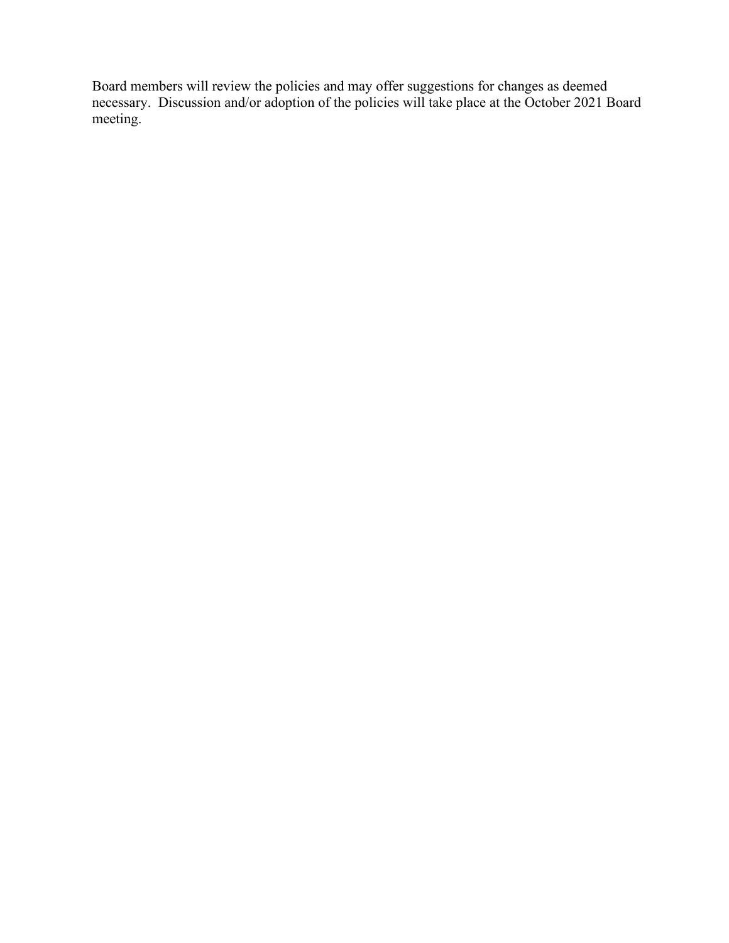Board members will review the policies and may offer suggestions for changes as deemed necessary. Discussion and/or adoption of the policies will take place at the October 2021 Board meeting.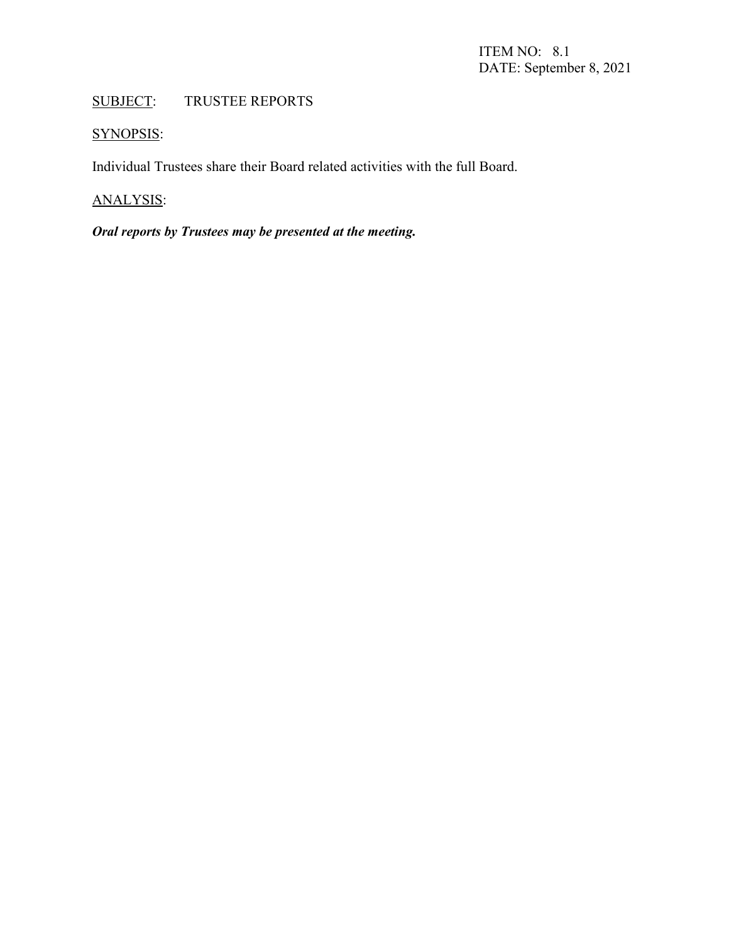# SUBJECT: TRUSTEE REPORTS

# SYNOPSIS:

Individual Trustees share their Board related activities with the full Board.

# ANALYSIS:

# *Oral reports by Trustees may be presented at the meeting.*